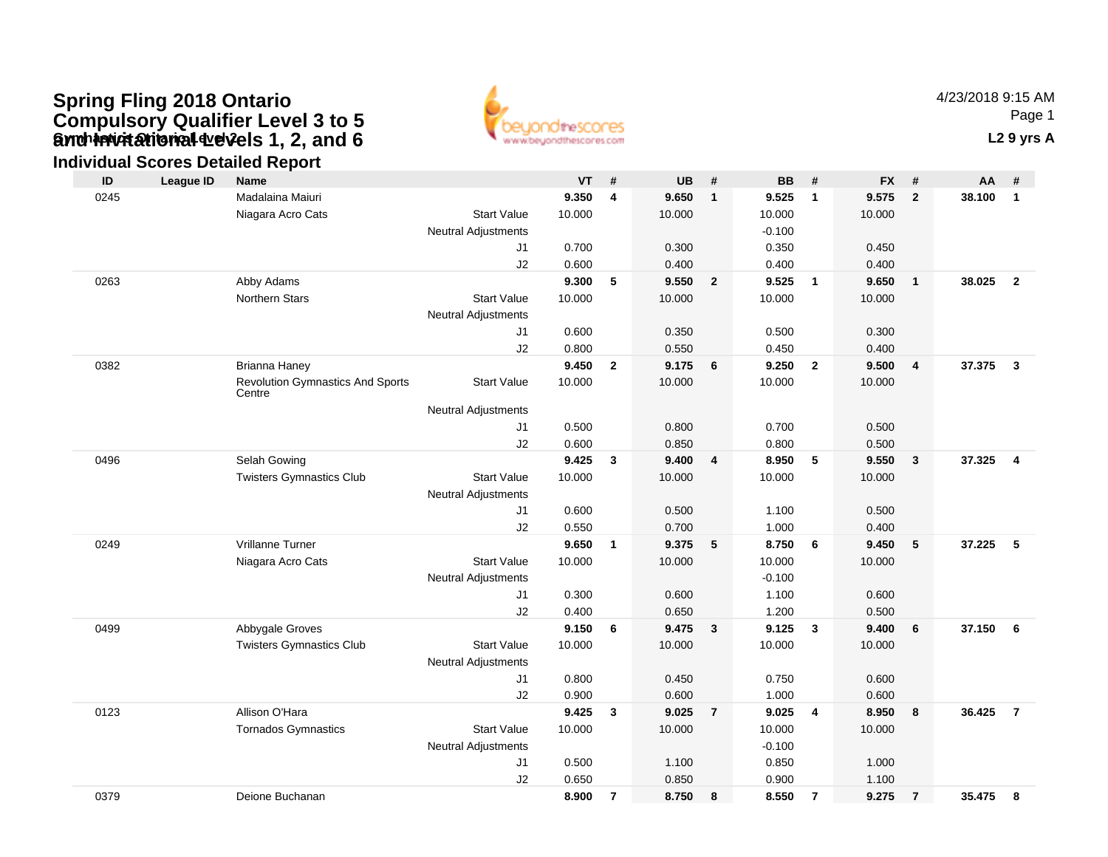# **Gynch invitational devels 1, 2, and 6** The Contact of Contact Contact Contact Contact Contact Contact Contact Contact Contact Contact Contact Contact Contact Contact Contact Contact Contact Contact Contact Contact Contact **Spring Fling 2018 Ontario Compulsory Qualifier Level 3 to 5 and Invitational Levels 1, 2, and 6**



4/23/2018 9:15 AMPage 1

# **Individual Scores Detailed Report**

| ID   | <b>League ID</b> | <b>Name</b>                                       |                            | <b>VT</b> | #                       | <b>UB</b> | #              | <b>BB</b> | #                       | <b>FX</b> | #              | AA.    | #                       |
|------|------------------|---------------------------------------------------|----------------------------|-----------|-------------------------|-----------|----------------|-----------|-------------------------|-----------|----------------|--------|-------------------------|
| 0245 |                  | Madalaina Maiuri                                  |                            | 9.350     | $\overline{\mathbf{4}}$ | 9.650     | $\mathbf{1}$   | 9.525     | $\mathbf{1}$            | 9.575     | $\mathbf{2}$   | 38.100 | $\mathbf{1}$            |
|      |                  | Niagara Acro Cats                                 | <b>Start Value</b>         | 10.000    |                         | 10.000    |                | 10.000    |                         | 10.000    |                |        |                         |
|      |                  |                                                   | <b>Neutral Adjustments</b> |           |                         |           |                | $-0.100$  |                         |           |                |        |                         |
|      |                  |                                                   | J1                         | 0.700     |                         | 0.300     |                | 0.350     |                         | 0.450     |                |        |                         |
|      |                  |                                                   | J2                         | 0.600     |                         | 0.400     |                | 0.400     |                         | 0.400     |                |        |                         |
| 0263 |                  | Abby Adams                                        |                            | 9.300     | 5                       | 9.550     | $\overline{2}$ | 9.525     | $\mathbf{1}$            | 9.650     | $\mathbf{1}$   | 38.025 | $\overline{2}$          |
|      |                  | Northern Stars                                    | <b>Start Value</b>         | 10.000    |                         | 10.000    |                | 10.000    |                         | 10.000    |                |        |                         |
|      |                  |                                                   | <b>Neutral Adjustments</b> |           |                         |           |                |           |                         |           |                |        |                         |
|      |                  |                                                   | J1                         | 0.600     |                         | 0.350     |                | 0.500     |                         | 0.300     |                |        |                         |
|      |                  |                                                   | J2                         | 0.800     |                         | 0.550     |                | 0.450     |                         | 0.400     |                |        |                         |
| 0382 |                  | <b>Brianna Haney</b>                              |                            | 9.450     | $\overline{2}$          | 9.175     | 6              | 9.250     | $\overline{2}$          | 9.500     | 4              | 37.375 | $\overline{\mathbf{3}}$ |
|      |                  | <b>Revolution Gymnastics And Sports</b><br>Centre | <b>Start Value</b>         | 10.000    |                         | 10.000    |                | 10.000    |                         | 10.000    |                |        |                         |
|      |                  |                                                   | <b>Neutral Adjustments</b> |           |                         |           |                |           |                         |           |                |        |                         |
|      |                  |                                                   | J1                         | 0.500     |                         | 0.800     |                | 0.700     |                         | 0.500     |                |        |                         |
|      |                  |                                                   | J2                         | 0.600     |                         | 0.850     |                | 0.800     |                         | 0.500     |                |        |                         |
| 0496 |                  | Selah Gowing                                      |                            | 9.425     | $\mathbf{3}$            | 9.400     | $\overline{4}$ | 8.950     | - 5                     | 9.550     | 3              | 37.325 | $\overline{4}$          |
|      |                  | <b>Twisters Gymnastics Club</b>                   | <b>Start Value</b>         | 10.000    |                         | 10.000    |                | 10.000    |                         | 10.000    |                |        |                         |
|      |                  |                                                   | <b>Neutral Adjustments</b> |           |                         |           |                |           |                         |           |                |        |                         |
|      |                  |                                                   | J1                         | 0.600     |                         | 0.500     |                | 1.100     |                         | 0.500     |                |        |                         |
|      |                  |                                                   | J2                         | 0.550     |                         | 0.700     |                | 1.000     |                         | 0.400     |                |        |                         |
| 0249 |                  | Vrillanne Turner                                  |                            | 9.650     | $\mathbf{1}$            | 9.375     | 5              | 8.750     | - 6                     | 9.450     | 5              | 37.225 | 5                       |
|      |                  | Niagara Acro Cats                                 | <b>Start Value</b>         | 10.000    |                         | 10.000    |                | 10.000    |                         | 10.000    |                |        |                         |
|      |                  |                                                   | <b>Neutral Adjustments</b> |           |                         |           |                | $-0.100$  |                         |           |                |        |                         |
|      |                  |                                                   | J1                         | 0.300     |                         | 0.600     |                | 1.100     |                         | 0.600     |                |        |                         |
|      |                  |                                                   | J2                         | 0.400     |                         | 0.650     |                | 1.200     |                         | 0.500     |                |        |                         |
| 0499 |                  | Abbygale Groves                                   |                            | 9.150     | 6                       | 9.475     | $\mathbf{3}$   | 9.125     | $\overline{\mathbf{3}}$ | 9.400     | 6              | 37.150 | 6                       |
|      |                  | <b>Twisters Gymnastics Club</b>                   | <b>Start Value</b>         | 10.000    |                         | 10.000    |                | 10.000    |                         | 10.000    |                |        |                         |
|      |                  |                                                   | <b>Neutral Adjustments</b> |           |                         |           |                |           |                         |           |                |        |                         |
|      |                  |                                                   | J1                         | 0.800     |                         | 0.450     |                | 0.750     |                         | 0.600     |                |        |                         |
|      |                  |                                                   | J2                         | 0.900     |                         | 0.600     |                | 1.000     |                         | 0.600     |                |        |                         |
| 0123 |                  | Allison O'Hara                                    |                            | 9.425     | 3                       | 9.025     | $\overline{7}$ | 9.025     | $\overline{4}$          | 8.950     | 8              | 36.425 | $\overline{7}$          |
|      |                  | <b>Tornados Gymnastics</b>                        | <b>Start Value</b>         | 10.000    |                         | 10.000    |                | 10.000    |                         | 10.000    |                |        |                         |
|      |                  |                                                   | <b>Neutral Adjustments</b> |           |                         |           |                | $-0.100$  |                         |           |                |        |                         |
|      |                  |                                                   | J1                         | 0.500     |                         | 1.100     |                | 0.850     |                         | 1.000     |                |        |                         |
|      |                  |                                                   | J2                         | 0.650     |                         | 0.850     |                | 0.900     |                         | 1.100     |                |        |                         |
| 0379 |                  | Deione Buchanan                                   |                            | 8.900     | $\overline{7}$          | 8.750     | 8              | 8.550     | $\overline{7}$          | 9.275     | $\overline{7}$ | 35.475 | 8                       |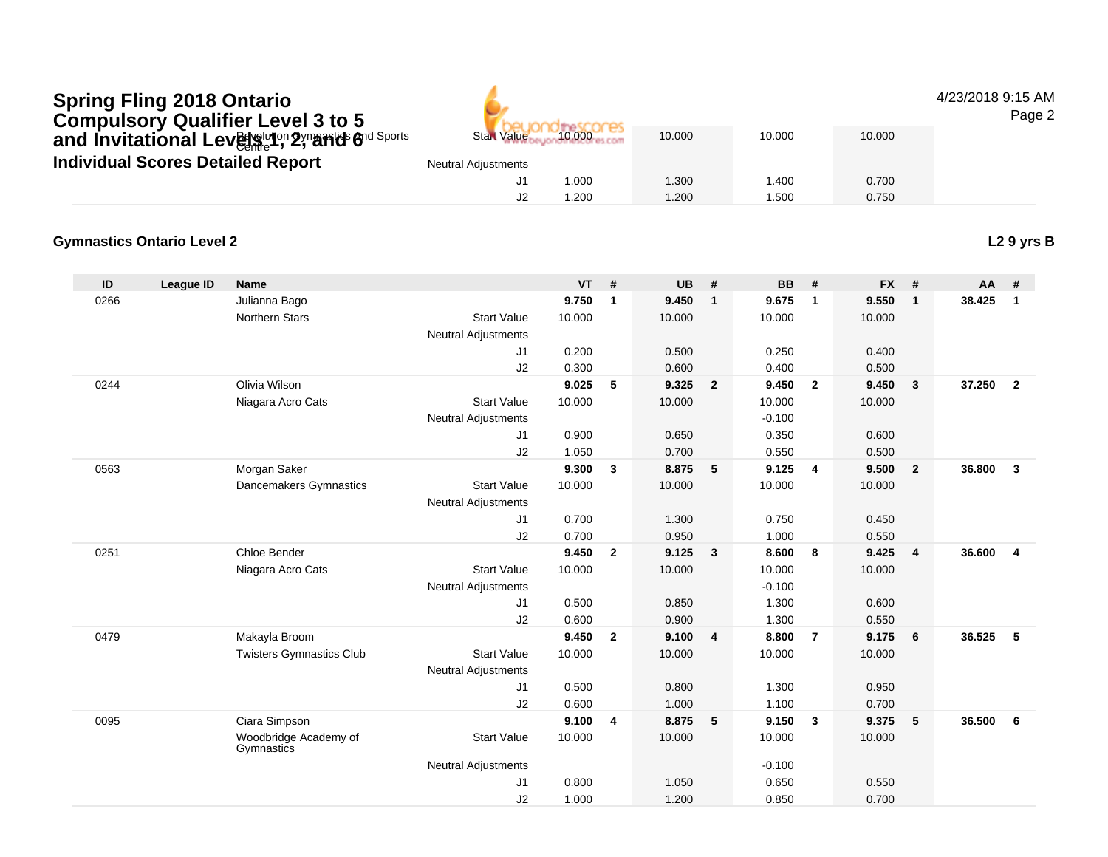# Bayelution 2 ymarrids find Sports **Individual Scores Detailed ReportSpring Fling 2018 Ontario Compulsory Qualifier Level 3 to 5 and Invitational Levels 1, 2, and 6**

Start Value

| Start Value 10.000         |       | 10.000 | 10.000 | 10.000 |
|----------------------------|-------|--------|--------|--------|
| <b>Neutral Adjustments</b> |       |        |        |        |
|                            | 1.000 | 1.300  | 1.400  | 0.700  |
| J2                         | 1.200 | 1.200  | 1.500  | 0.750  |

## **Gymnastics Ontario Level 2**

| ID   | <b>League ID</b> | Name                                |                            | <b>VT</b> | #              | <b>UB</b> | #                       | <b>BB</b> | #                       | <b>FX</b> | #                       | AA     | #              |
|------|------------------|-------------------------------------|----------------------------|-----------|----------------|-----------|-------------------------|-----------|-------------------------|-----------|-------------------------|--------|----------------|
| 0266 |                  | Julianna Bago                       |                            | 9.750     | $\mathbf{1}$   | 9.450     | $\mathbf{1}$            | 9.675     | $\mathbf{1}$            | 9.550     | $\mathbf{1}$            | 38.425 | $\mathbf{1}$   |
|      |                  | <b>Northern Stars</b>               | <b>Start Value</b>         | 10.000    |                | 10.000    |                         | 10.000    |                         | 10.000    |                         |        |                |
|      |                  |                                     | <b>Neutral Adjustments</b> |           |                |           |                         |           |                         |           |                         |        |                |
|      |                  |                                     | J1                         | 0.200     |                | 0.500     |                         | 0.250     |                         | 0.400     |                         |        |                |
|      |                  |                                     | J2                         | 0.300     |                | 0.600     |                         | 0.400     |                         | 0.500     |                         |        |                |
| 0244 |                  | Olivia Wilson                       |                            | 9.025     | 5              | 9.325     | $\overline{\mathbf{2}}$ | 9.450     | $\overline{\mathbf{2}}$ | 9.450     | $\overline{\mathbf{3}}$ | 37.250 | $\overline{2}$ |
|      |                  | Niagara Acro Cats                   | <b>Start Value</b>         | 10.000    |                | 10.000    |                         | 10.000    |                         | 10.000    |                         |        |                |
|      |                  |                                     | <b>Neutral Adjustments</b> |           |                |           |                         | $-0.100$  |                         |           |                         |        |                |
|      |                  |                                     | J1                         | 0.900     |                | 0.650     |                         | 0.350     |                         | 0.600     |                         |        |                |
|      |                  |                                     | J2                         | 1.050     |                | 0.700     |                         | 0.550     |                         | 0.500     |                         |        |                |
| 0563 |                  | Morgan Saker                        |                            | 9.300     | $\mathbf{3}$   | 8.875     | 5                       | 9.125     | $\overline{4}$          | 9.500     | $\overline{\mathbf{2}}$ | 36.800 | $\mathbf{3}$   |
|      |                  | Dancemakers Gymnastics              | <b>Start Value</b>         | 10.000    |                | 10.000    |                         | 10.000    |                         | 10.000    |                         |        |                |
|      |                  |                                     | Neutral Adjustments        |           |                |           |                         |           |                         |           |                         |        |                |
|      |                  |                                     | J1                         | 0.700     |                | 1.300     |                         | 0.750     |                         | 0.450     |                         |        |                |
|      |                  |                                     | J2                         | 0.700     |                | 0.950     |                         | 1.000     |                         | 0.550     |                         |        |                |
| 0251 |                  | Chloe Bender                        |                            | 9.450     | $\overline{2}$ | 9.125     | $\mathbf{3}$            | 8.600     | 8                       | 9.425     | $\overline{4}$          | 36.600 | $\overline{4}$ |
|      |                  | Niagara Acro Cats                   | <b>Start Value</b>         | 10.000    |                | 10.000    |                         | 10.000    |                         | 10.000    |                         |        |                |
|      |                  |                                     | Neutral Adjustments        |           |                |           |                         | $-0.100$  |                         |           |                         |        |                |
|      |                  |                                     | J1                         | 0.500     |                | 0.850     |                         | 1.300     |                         | 0.600     |                         |        |                |
|      |                  |                                     | J2                         | 0.600     |                | 0.900     |                         | 1.300     |                         | 0.550     |                         |        |                |
| 0479 |                  | Makayla Broom                       |                            | 9.450     | $\overline{2}$ | 9.100     | $\overline{4}$          | 8.800     | $\overline{7}$          | 9.175     | 6                       | 36.525 | -5             |
|      |                  | <b>Twisters Gymnastics Club</b>     | <b>Start Value</b>         | 10.000    |                | 10.000    |                         | 10.000    |                         | 10.000    |                         |        |                |
|      |                  |                                     | <b>Neutral Adjustments</b> |           |                |           |                         |           |                         |           |                         |        |                |
|      |                  |                                     | J1                         | 0.500     |                | 0.800     |                         | 1.300     |                         | 0.950     |                         |        |                |
|      |                  |                                     | J2                         | 0.600     |                | 1.000     |                         | 1.100     |                         | 0.700     |                         |        |                |
| 0095 |                  | Ciara Simpson                       |                            | 9.100     | 4              | 8.875     | 5                       | 9.150     | $\mathbf{3}$            | 9.375     | 5                       | 36.500 | 6              |
|      |                  | Woodbridge Academy of<br>Gymnastics | <b>Start Value</b>         | 10.000    |                | 10.000    |                         | 10.000    |                         | 10.000    |                         |        |                |
|      |                  |                                     | <b>Neutral Adjustments</b> |           |                |           |                         | $-0.100$  |                         |           |                         |        |                |
|      |                  |                                     | J1                         | 0.800     |                | 1.050     |                         | 0.650     |                         | 0.550     |                         |        |                |
|      |                  |                                     | J2                         | 1.000     |                | 1.200     |                         | 0.850     |                         | 0.700     |                         |        |                |

## 4/23/2018 9:15 AM

Page 2

**L2 9 yrs B**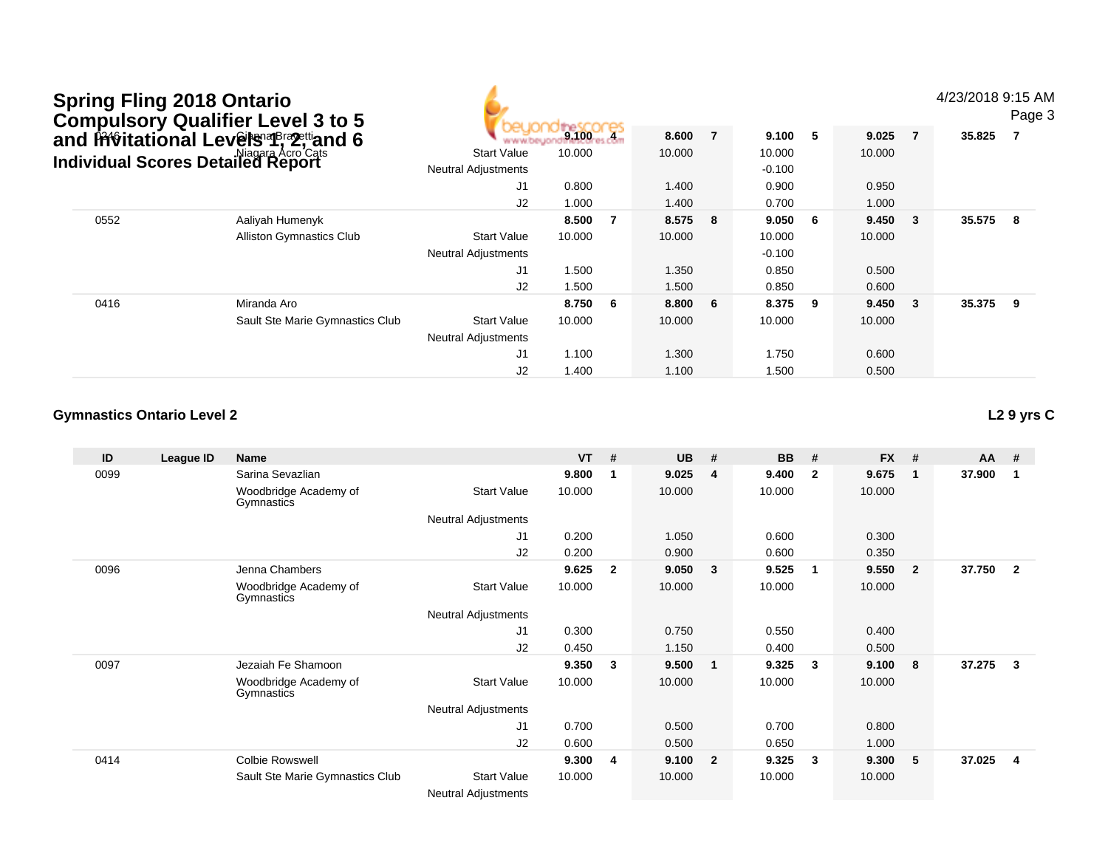|      | <b>Spring Fling 2018 Ontario</b><br><b>Compulsory Qualifier Level 3 to 5</b> |                            |        |                |        |                |          |                |        |   | 4/23/2018 9:15 AM | Page 3 |
|------|------------------------------------------------------------------------------|----------------------------|--------|----------------|--------|----------------|----------|----------------|--------|---|-------------------|--------|
|      | and invitational Levers approximand 6                                        |                            | 9.100  |                | 8.600  | $\overline{7}$ | 9.100    | 5 <sup>5</sup> | 9.025  | 7 | 35.825            | -7     |
|      | <b>Individual Scores Detailed Report</b>                                     | <b>Start Value</b>         | 10.000 |                | 10.000 |                | 10.000   |                | 10.000 |   |                   |        |
|      |                                                                              | <b>Neutral Adjustments</b> |        |                |        |                | $-0.100$ |                |        |   |                   |        |
|      |                                                                              | J1                         | 0.800  |                | 1.400  |                | 0.900    |                | 0.950  |   |                   |        |
|      |                                                                              | J2                         | 1.000  |                | 1.400  |                | 0.700    |                | 1.000  |   |                   |        |
| 0552 | Aaliyah Humenyk                                                              |                            | 8.500  | $\overline{7}$ | 8.575  | 8              | 9.050    | - 6            | 9.450  | 3 | 35.575            | - 8    |
|      | <b>Alliston Gymnastics Club</b>                                              | <b>Start Value</b>         | 10.000 |                | 10.000 |                | 10.000   |                | 10.000 |   |                   |        |
|      |                                                                              | <b>Neutral Adjustments</b> |        |                |        |                | $-0.100$ |                |        |   |                   |        |
|      |                                                                              | J1                         | 1.500  |                | 1.350  |                | 0.850    |                | 0.500  |   |                   |        |
|      |                                                                              | J2                         | 1.500  |                | 1.500  |                | 0.850    |                | 0.600  |   |                   |        |
| 0416 | Miranda Aro                                                                  |                            | 8.750  | - 6            | 8.800  | 6              | 8.375    | 9              | 9.450  | 3 | 35.375            | - 9    |
|      | Sault Ste Marie Gymnastics Club                                              | <b>Start Value</b>         | 10.000 |                | 10.000 |                | 10.000   |                | 10.000 |   |                   |        |
|      |                                                                              | <b>Neutral Adjustments</b> |        |                |        |                |          |                |        |   |                   |        |
|      |                                                                              | J1                         | 1.100  |                | 1.300  |                | 1.750    |                | 0.600  |   |                   |        |
|      |                                                                              | J2                         | 1.400  |                | 1.100  |                | 1.500    |                | 0.500  |   |                   |        |

**ID League ID Name VT # UB # BB # FX # AA #** 0099 Sarina Sevazlian **9.800 <sup>1</sup> 9.025 <sup>4</sup> 9.400 <sup>2</sup> 9.675 <sup>1</sup> 37.900 <sup>1</sup>** Woodbridge Academy of**Gymnastics** Start Valuee 10.000 10.000 10.000 10.000 Neutral Adjustments J1 0.200 1.050 0.600 0.300 J2 0.200 0.900 0.600 0.350 0096 Jenna Chambers **9.625 <sup>2</sup> 9.050 <sup>3</sup> 9.525 <sup>1</sup> 9.550 <sup>2</sup> 37.750 <sup>2</sup>** Woodbridge Academy of GymnasticsStart Valuee 10.000 10.000 10.000 10.000 Neutral Adjustments J1 0.300 0.750 0.550 0.400 J22 0.450 1.150 0.400 0.500 0097 Jezaiah Fe Shamoon **9.350 <sup>3</sup> 9.500 <sup>1</sup> 9.325 <sup>3</sup> 9.100 <sup>8</sup> 37.275 <sup>3</sup>** Woodbridge Academy of**Gymnastics** Start Valuee 10.000 10.000 10.000 10.000 Neutral Adjustments J1 0.700 0.500 0.700 0.800 J2 0.600 0.500 0.650 1.000 0414 Colbie Rowswell **9.300 <sup>4</sup> 9.100 <sup>2</sup> 9.325 <sup>3</sup> 9.300 <sup>5</sup> 37.025 <sup>4</sup>** Sault Ste Marie Gymnastics ClubStart Value 10.000 10.000 10.000 10.000

Neutral Adjustments

# **L2 9 yrs C**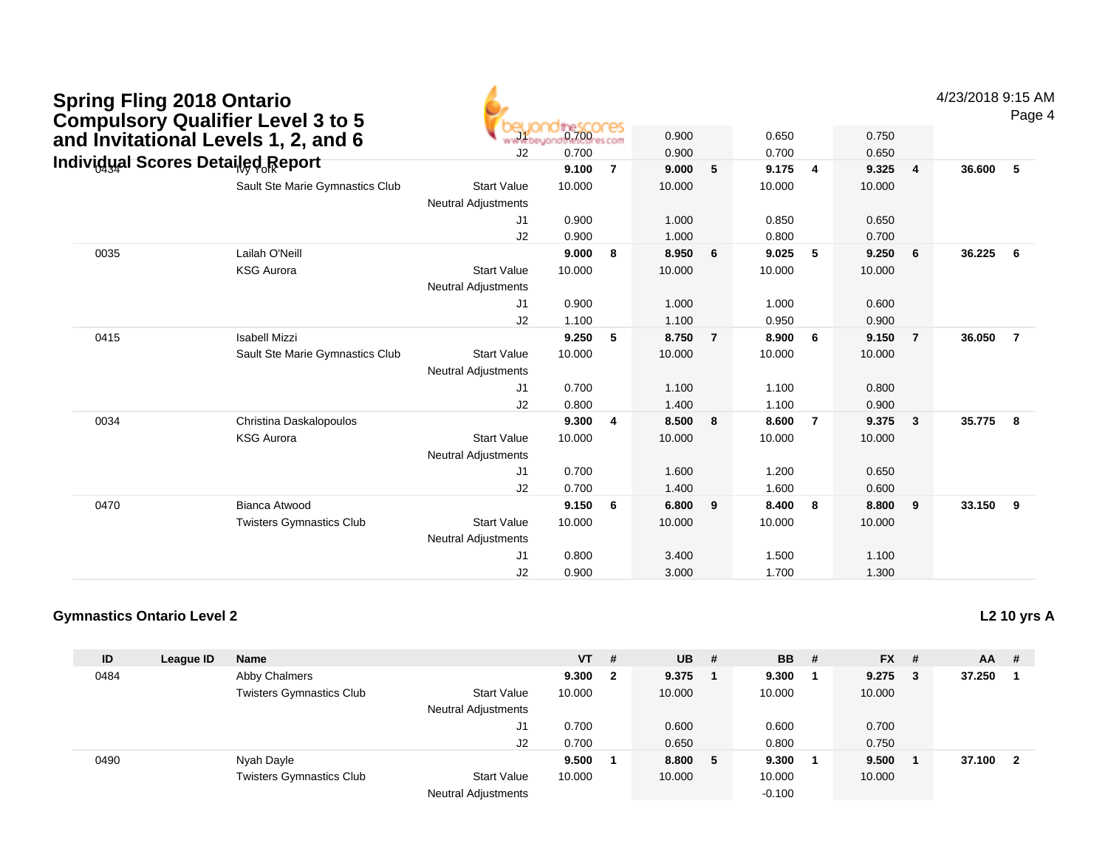| <b>Spring Fling 2018 Ontario</b> | <b>Compulsory Qualifier Level 3 to 5</b> |                            |                  |    |        |                |        |   |        |    | 4/23/2018 9:1 | P  |
|----------------------------------|------------------------------------------|----------------------------|------------------|----|--------|----------------|--------|---|--------|----|---------------|----|
|                                  | and Invitational Levels 1, 2, and 6      |                            | <b>De SCOCES</b> |    | 0.900  |                | 0.650  |   | 0.750  |    |               |    |
|                                  |                                          | J <sub>2</sub>             | 0.700            |    | 0.900  |                | 0.700  |   | 0.650  |    |               |    |
|                                  | Individual Scores Detailed Report        |                            | 9.100            | -7 | 9.000  | 5              | 9.175  | 4 | 9.325  | -4 | 36.600        |    |
|                                  | Sault Ste Marie Gymnastics Club          | <b>Start Value</b>         | 10.000           |    | 10.000 |                | 10.000 |   | 10.000 |    |               |    |
|                                  |                                          | <b>Neutral Adjustments</b> |                  |    |        |                |        |   |        |    |               |    |
|                                  |                                          | J1                         | 0.900            |    | 1.000  |                | 0.850  |   | 0.650  |    |               |    |
|                                  |                                          | J <sub>2</sub>             | 0.900            |    | 1.000  |                | 0.800  |   | 0.700  |    |               |    |
| 0035                             | Lailah O'Neill                           |                            | 9.000            | -8 | 8.950  | 6              | 9.025  | 5 | 9.250  | 6  | 36.225        |    |
|                                  | <b>KSG Aurora</b>                        | <b>Start Value</b>         | 10.000           |    | 10.000 |                | 10.000 |   | 10.000 |    |               |    |
|                                  |                                          | <b>Neutral Adjustments</b> |                  |    |        |                |        |   |        |    |               |    |
|                                  |                                          | J <sub>1</sub>             | 0.900            |    | 1.000  |                | 1.000  |   | 0.600  |    |               |    |
|                                  |                                          | J <sub>2</sub>             | 1.100            |    | 1.100  |                | 0.950  |   | 0.900  |    |               |    |
| 0415                             | <b>Isabell Mizzi</b>                     |                            | 9.250            | -5 | 8.750  | $\overline{7}$ | 8.900  | 6 | 9.150  | 7  | 36.050        |    |
|                                  | Sault Ste Marie Gymnastics Club          | <b>Start Value</b>         | 10.000           |    | 10.000 |                | 10.000 |   | 10.000 |    |               |    |
|                                  |                                          | <b>Neutral Adjustments</b> |                  |    |        |                |        |   |        |    |               |    |
|                                  |                                          | J1                         | 0.700            |    | 1.100  |                | 1.100  |   | 0.800  |    |               |    |
|                                  |                                          | J2                         | 0.800            |    | 1.400  |                | 1.100  |   | 0.900  |    |               |    |
| 0034                             | Christina Daskalopoulos                  |                            | 9.300            | 4  | 8.500  | 8              | 8.600  | 7 | 9.375  | 3  | 35.775        | -8 |
|                                  | <b>KSG Aurora</b>                        | <b>Start Value</b>         | 10.000           |    | 10.000 |                | 10.000 |   | 10.000 |    |               |    |
|                                  |                                          | <b>Neutral Adjustments</b> |                  |    |        |                |        |   |        |    |               |    |

### 4/23/2018 9:15 AM

Page 4

# **Gymnastics Ontario Level 2**

Twisters Gymnastics Club

0470

| ID   | League ID | <b>Name</b>                     |                            | $VT$ # |              | $UB$ # |    | <b>BB</b> # | $FX$ # |     | AA     | #                       |
|------|-----------|---------------------------------|----------------------------|--------|--------------|--------|----|-------------|--------|-----|--------|-------------------------|
| 0484 |           | Abby Chalmers                   |                            | 9.300  | $\mathbf{2}$ | 9.375  |    | 9.300       | 9.275  | - 3 | 37.250 |                         |
|      |           | <b>Twisters Gymnastics Club</b> | <b>Start Value</b>         | 10.000 |              | 10.000 |    | 10.000      | 10.000 |     |        |                         |
|      |           |                                 | <b>Neutral Adjustments</b> |        |              |        |    |             |        |     |        |                         |
|      |           |                                 | J1                         | 0.700  |              | 0.600  |    | 0.600       | 0.700  |     |        |                         |
|      |           |                                 | J2                         | 0.700  |              | 0.650  |    | 0.800       | 0.750  |     |        |                         |
| 0490 |           | Nyah Dayle                      |                            | 9.500  |              | 8.800  | -5 | 9.300       | 9.500  |     | 37.100 | $\overline{\mathbf{2}}$ |
|      |           | <b>Twisters Gymnastics Club</b> | <b>Start Value</b>         | 10.000 |              | 10.000 |    | 10.000      | 10.000 |     |        |                         |
|      |           |                                 | <b>Neutral Adjustments</b> |        |              |        |    | $-0.100$    |        |     |        |                         |

J1

J2

J1

J2

Neutral Adjustments

Bianca Atwood **9.150 <sup>6</sup> 6.800 <sup>9</sup> 8.400 <sup>8</sup> 8.800 <sup>9</sup> 33.150 <sup>9</sup>**

b 3tart Value 10.000 10.000 10.000 10.000 10.000

0.700 1.600 1.200 0.650

0.700 1.400 1.600 0.600

0.800 3.400 1.500 1.100

0.900 3.000 1.700 1.300

**L2 10 yrs A**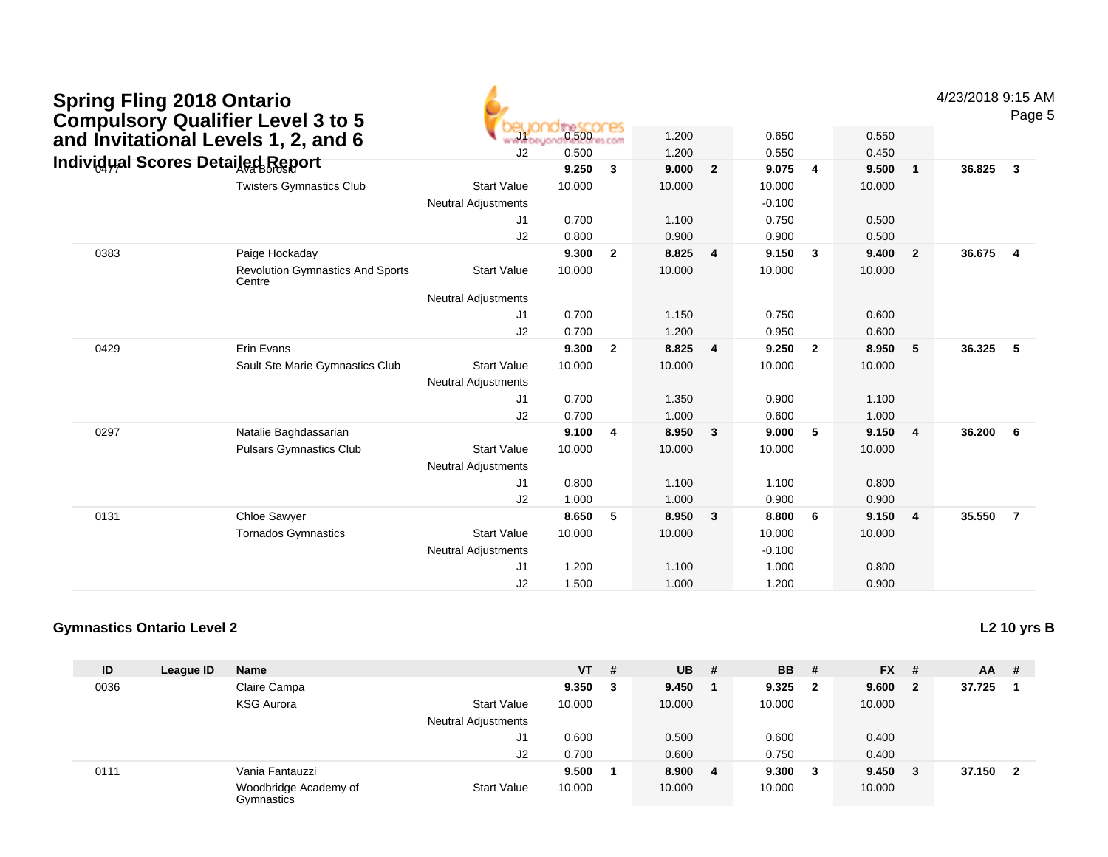| <b>Spring Fling 2018 Ontario</b><br><b>Compulsory Qualifier Level 3 to 5</b> |                                                   |                            | <b>Descores</b> |                | 1.200  |                | 0.650    |                | 0.550  |                | 4/23/2018 9:15 AM | Page 5                  |
|------------------------------------------------------------------------------|---------------------------------------------------|----------------------------|-----------------|----------------|--------|----------------|----------|----------------|--------|----------------|-------------------|-------------------------|
| and Invitational Levels 1, 2, and 6                                          |                                                   | J2                         | 0.500           |                | 1.200  |                | 0.550    |                | 0.450  |                |                   |                         |
| Individual Scores Detailed Report                                            |                                                   |                            | 9.250           | $\mathbf{3}$   | 9.000  | $\overline{2}$ | 9.075    | $\overline{4}$ | 9.500  | $\mathbf{1}$   | 36.825            | $\overline{\mathbf{3}}$ |
|                                                                              | <b>Twisters Gymnastics Club</b>                   | <b>Start Value</b>         | 10.000          |                | 10.000 |                | 10.000   |                | 10.000 |                |                   |                         |
|                                                                              |                                                   | <b>Neutral Adjustments</b> |                 |                |        |                | $-0.100$ |                |        |                |                   |                         |
|                                                                              |                                                   | J1                         | 0.700           |                | 1.100  |                | 0.750    |                | 0.500  |                |                   |                         |
|                                                                              |                                                   | J2                         | 0.800           |                | 0.900  |                | 0.900    |                | 0.500  |                |                   |                         |
| 0383                                                                         | Paige Hockaday                                    |                            | 9.300           | $\overline{2}$ | 8.825  | $\overline{4}$ | 9.150    | $\mathbf{3}$   | 9.400  | $\overline{2}$ | 36.675            | $\overline{\mathbf{4}}$ |
|                                                                              | <b>Revolution Gymnastics And Sports</b><br>Centre | <b>Start Value</b>         | 10.000          |                | 10.000 |                | 10.000   |                | 10.000 |                |                   |                         |
|                                                                              |                                                   | <b>Neutral Adjustments</b> |                 |                |        |                |          |                |        |                |                   |                         |
|                                                                              |                                                   | J1                         | 0.700           |                | 1.150  |                | 0.750    |                | 0.600  |                |                   |                         |
|                                                                              |                                                   | J2                         | 0.700           |                | 1.200  |                | 0.950    |                | 0.600  |                |                   |                         |
| 0429                                                                         | Erin Evans                                        |                            | 9.300           | $\overline{2}$ | 8.825  | $\overline{4}$ | 9.250    | $\overline{2}$ | 8.950  | 5              | 36.325            | 5                       |
|                                                                              | Sault Ste Marie Gymnastics Club                   | <b>Start Value</b>         | 10.000          |                | 10.000 |                | 10.000   |                | 10.000 |                |                   |                         |
|                                                                              |                                                   | <b>Neutral Adjustments</b> |                 |                |        |                |          |                |        |                |                   |                         |
|                                                                              |                                                   | J1                         | 0.700           |                | 1.350  |                | 0.900    |                | 1.100  |                |                   |                         |
|                                                                              |                                                   | J2                         | 0.700           |                | 1.000  |                | 0.600    |                | 1.000  |                |                   |                         |
| 0297                                                                         | Natalie Baghdassarian                             |                            | 9.100           | $\overline{4}$ | 8.950  | $\mathbf{3}$   | 9.000    | 5              | 9.150  | $\overline{4}$ | 36.200            | 6                       |
|                                                                              | <b>Pulsars Gymnastics Club</b>                    | <b>Start Value</b>         | 10.000          |                | 10.000 |                | 10.000   |                | 10.000 |                |                   |                         |
|                                                                              |                                                   | <b>Neutral Adjustments</b> |                 |                |        |                |          |                |        |                |                   |                         |
|                                                                              |                                                   | J1                         | 0.800           |                | 1.100  |                | 1.100    |                | 0.800  |                |                   |                         |
|                                                                              |                                                   | J2                         | 1.000           |                | 1.000  |                | 0.900    |                | 0.900  |                |                   |                         |
| 0131                                                                         | Chloe Sawyer                                      |                            | 8.650           | 5              | 8.950  | $\mathbf{3}$   | 8.800    | 6              | 9.150  | $\overline{4}$ | 35.550            | $\overline{7}$          |
|                                                                              | <b>Tornados Gymnastics</b>                        | <b>Start Value</b>         | 10.000          |                | 10.000 |                | 10.000   |                | 10.000 |                |                   |                         |
|                                                                              |                                                   | <b>Neutral Adjustments</b> |                 |                |        |                | $-0.100$ |                |        |                |                   |                         |
|                                                                              |                                                   | J1                         | 1.200           |                | 1.100  |                | 1.000    |                | 0.800  |                |                   |                         |
|                                                                              |                                                   | J2                         | 1.500           |                | 1.000  |                | 1.200    |                | 0.900  |                |                   |                         |

**L2 10 yrs B**

| ID   | League ID | Name                                |                            | $VT$ # |        | <b>UB</b> | - # | <b>BB</b> | #   | <b>FX</b> | # | $AA$ # |                |
|------|-----------|-------------------------------------|----------------------------|--------|--------|-----------|-----|-----------|-----|-----------|---|--------|----------------|
| 0036 |           | Claire Campa                        |                            | 9.350  | $_{3}$ | 9.450     |     | 9.325     | - 2 | 9.600     | 2 | 37.725 |                |
|      |           | <b>KSG Aurora</b>                   | <b>Start Value</b>         | 10.000 |        | 10.000    |     | 10.000    |     | 10.000    |   |        |                |
|      |           |                                     | <b>Neutral Adjustments</b> |        |        |           |     |           |     |           |   |        |                |
|      |           |                                     | J1                         | 0.600  |        | 0.500     |     | 0.600     |     | 0.400     |   |        |                |
|      |           |                                     | J2                         | 0.700  |        | 0.600     |     | 0.750     |     | 0.400     |   |        |                |
| 0111 |           | Vania Fantauzzi                     |                            | 9.500  |        | 8.900     | - 4 | 9.300     | 3   | 9.450     |   | 37.150 | $\overline{2}$ |
|      |           | Woodbridge Academy of<br>Gymnastics | <b>Start Value</b>         | 10.000 |        | 10.000    |     | 10.000    |     | 10.000    |   |        |                |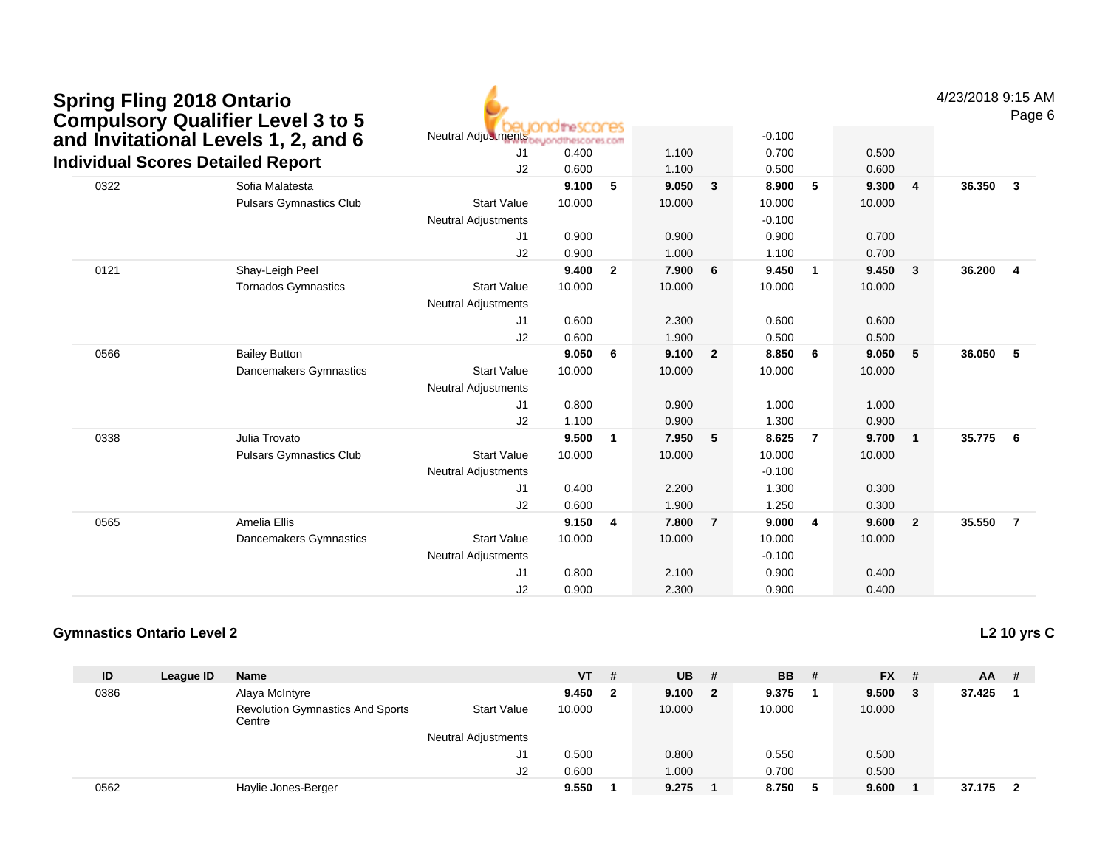| <b>Spring Fling 2018 Ontario</b> | <b>Compulsory Qualifier Level 3 to 5</b><br>and Invitational Levels 1, 2, and 6<br><b>Individual Scores Detailed Report</b> | Neutral Adjustments<br>J1                        | <b>idirescores</b><br>euondthescores.com<br>0.400 |                | 1.100          |                | $-0.100$<br>0.700  |                | 0.500          |                | 4/23/2018 9:15 AM | Page 6         |
|----------------------------------|-----------------------------------------------------------------------------------------------------------------------------|--------------------------------------------------|---------------------------------------------------|----------------|----------------|----------------|--------------------|----------------|----------------|----------------|-------------------|----------------|
| 0322                             | Sofia Malatesta                                                                                                             | J2                                               | 0.600<br>9.100                                    | 5              | 1.100<br>9.050 | $\mathbf{3}$   | 0.500<br>8.900     | 5              | 0.600<br>9.300 | $\overline{4}$ | 36.350            | $\overline{3}$ |
|                                  | <b>Pulsars Gymnastics Club</b>                                                                                              | <b>Start Value</b><br><b>Neutral Adjustments</b> | 10.000                                            |                | 10.000         |                | 10.000<br>$-0.100$ |                | 10.000         |                |                   |                |
|                                  |                                                                                                                             | J1                                               | 0.900                                             |                | 0.900          |                | 0.900              |                | 0.700          |                |                   |                |
|                                  |                                                                                                                             | J2                                               | 0.900                                             |                | 1.000          |                | 1.100              |                | 0.700          |                |                   |                |
| 0121                             | Shay-Leigh Peel                                                                                                             |                                                  | 9.400                                             | $\mathbf{2}$   | 7.900          | 6              | 9.450              | $\overline{1}$ | 9.450          | $\mathbf{3}$   | 36.200            | 4              |
|                                  | <b>Tornados Gymnastics</b>                                                                                                  | <b>Start Value</b><br><b>Neutral Adjustments</b> | 10.000                                            |                | 10.000         |                | 10.000             |                | 10.000         |                |                   |                |
|                                  |                                                                                                                             | J1                                               | 0.600                                             |                | 2.300          |                | 0.600              |                | 0.600          |                |                   |                |
|                                  |                                                                                                                             | J2                                               | 0.600                                             |                | 1.900          |                | 0.500              |                | 0.500          |                |                   |                |
| 0566                             | <b>Bailey Button</b>                                                                                                        |                                                  | 9.050                                             | 6              | 9.100          | $\overline{2}$ | 8.850              | 6              | 9.050          | 5              | 36.050            | 5              |
|                                  | Dancemakers Gymnastics                                                                                                      | <b>Start Value</b>                               | 10.000                                            |                | 10.000         |                | 10.000             |                | 10.000         |                |                   |                |
|                                  |                                                                                                                             | <b>Neutral Adjustments</b>                       |                                                   |                |                |                |                    |                |                |                |                   |                |
|                                  |                                                                                                                             | J1                                               | 0.800                                             |                | 0.900          |                | 1.000              |                | 1.000          |                |                   |                |
|                                  |                                                                                                                             | J2                                               | 1.100                                             |                | 0.900          |                | 1.300              |                | 0.900          |                |                   |                |
| 0338                             | Julia Trovato                                                                                                               |                                                  | 9.500                                             | $\overline{1}$ | 7.950          | 5              | 8.625              | $\overline{7}$ | 9.700          | $\mathbf{1}$   | 35.775            | 6              |
|                                  | <b>Pulsars Gymnastics Club</b>                                                                                              | <b>Start Value</b>                               | 10.000                                            |                | 10.000         |                | 10.000             |                | 10.000         |                |                   |                |
|                                  |                                                                                                                             | <b>Neutral Adjustments</b>                       |                                                   |                |                |                | $-0.100$           |                |                |                |                   |                |
|                                  |                                                                                                                             | J1                                               | 0.400                                             |                | 2.200          |                | 1.300              |                | 0.300          |                |                   |                |
|                                  |                                                                                                                             | J2                                               | 0.600                                             |                | 1.900          |                | 1.250              |                | 0.300          |                |                   |                |
| 0565                             | Amelia Ellis                                                                                                                |                                                  | 9.150                                             | $\overline{4}$ | 7.800          | $\overline{7}$ | 9.000              | $\overline{4}$ | 9.600          | $\overline{2}$ | 35.550            | $\overline{7}$ |
|                                  | Dancemakers Gymnastics                                                                                                      | <b>Start Value</b>                               | 10.000                                            |                | 10.000         |                | 10.000             |                | 10.000         |                |                   |                |
|                                  |                                                                                                                             | <b>Neutral Adjustments</b>                       |                                                   |                |                |                | $-0.100$           |                |                |                |                   |                |
|                                  |                                                                                                                             | J1                                               | 0.800                                             |                | 2.100          |                | 0.900              |                | 0.400          |                |                   |                |
|                                  |                                                                                                                             | J2                                               | 0.900                                             |                | 2.300          |                | 0.900              |                | 0.400          |                |                   |                |

#### **Gymnastics Ontario Level 2L2 10 yrs C**

**ID League ID Name VT # UB # BB # FX # AA #** 0386 Alaya McIntyre **9.450 <sup>2</sup> 9.100 <sup>2</sup> 9.375 <sup>1</sup> 9.500 <sup>3</sup> 37.425 <sup>1</sup>** Revolution Gymnastics And Sports**Centre** Start Valuee 10.000 10.000 10.000 10.000 Neutral Adjustments J1 0.500 0.800 0.550 0.500 J2 0.600 1.000 0.700 0.500 0562Haylie Jones-Berger **9.550 <sup>1</sup> 9.275 <sup>1</sup> 8.750 <sup>5</sup> 9.600 <sup>1</sup> 37.175 <sup>2</sup>**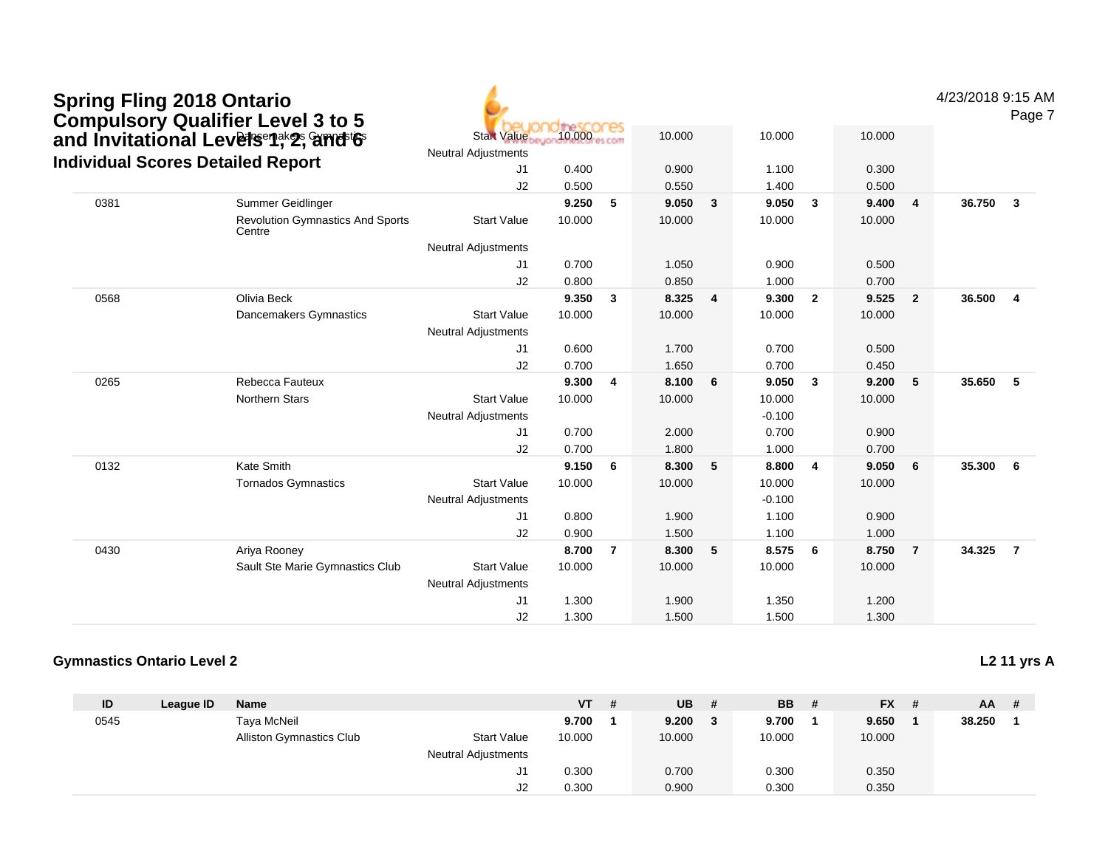| <b>Spring Fling 2018 Ontario</b>         | <b>Compulsory Qualifier Level 3 to 5</b><br>and Invitational Levelsent 2, and 6 | <b>Start Value</b><br><b>Neutral Adjustments</b> | 10.000 |                | 10.000 |                | 10.000   |                         | 10.000 |                | 4/23/2018 9:15 AM | Page 7                  |
|------------------------------------------|---------------------------------------------------------------------------------|--------------------------------------------------|--------|----------------|--------|----------------|----------|-------------------------|--------|----------------|-------------------|-------------------------|
| <b>Individual Scores Detailed Report</b> |                                                                                 | J <sub>1</sub>                                   | 0.400  |                | 0.900  |                | 1.100    |                         | 0.300  |                |                   |                         |
|                                          |                                                                                 | J2                                               | 0.500  |                | 0.550  |                | 1.400    |                         | 0.500  |                |                   |                         |
| 0381                                     | Summer Geidlinger                                                               |                                                  | 9.250  | - 5            | 9.050  | $\mathbf{3}$   | 9.050    | $\overline{\mathbf{3}}$ | 9.400  | $\overline{4}$ | 36.750            | $\overline{\mathbf{3}}$ |
|                                          | <b>Revolution Gymnastics And Sports</b><br>Centre                               | <b>Start Value</b>                               | 10.000 |                | 10.000 |                | 10.000   |                         | 10.000 |                |                   |                         |
|                                          |                                                                                 | Neutral Adjustments                              |        |                |        |                |          |                         |        |                |                   |                         |
|                                          |                                                                                 | J1                                               | 0.700  |                | 1.050  |                | 0.900    |                         | 0.500  |                |                   |                         |
|                                          |                                                                                 | J2                                               | 0.800  |                | 0.850  |                | 1.000    |                         | 0.700  |                |                   |                         |
| 0568                                     | Olivia Beck                                                                     |                                                  | 9.350  | $\mathbf{3}$   | 8.325  | $\overline{4}$ | 9.300    | $\overline{2}$          | 9.525  | $\overline{2}$ | 36.500            | $\overline{4}$          |
|                                          | Dancemakers Gymnastics                                                          | <b>Start Value</b>                               | 10.000 |                | 10.000 |                | 10.000   |                         | 10.000 |                |                   |                         |
|                                          |                                                                                 | <b>Neutral Adjustments</b>                       |        |                |        |                |          |                         |        |                |                   |                         |
|                                          |                                                                                 | J1                                               | 0.600  |                | 1.700  |                | 0.700    |                         | 0.500  |                |                   |                         |
|                                          |                                                                                 | J2                                               | 0.700  |                | 1.650  |                | 0.700    |                         | 0.450  |                |                   |                         |
| 0265                                     | Rebecca Fauteux                                                                 |                                                  | 9.300  | $\overline{4}$ | 8.100  | 6              | 9.050    | $\mathbf{3}$            | 9.200  | 5              | 35.650            | 5                       |
|                                          | Northern Stars                                                                  | <b>Start Value</b>                               | 10.000 |                | 10.000 |                | 10.000   |                         | 10.000 |                |                   |                         |
|                                          |                                                                                 | <b>Neutral Adjustments</b>                       |        |                |        |                | $-0.100$ |                         |        |                |                   |                         |
|                                          |                                                                                 | J1                                               | 0.700  |                | 2.000  |                | 0.700    |                         | 0.900  |                |                   |                         |
|                                          |                                                                                 | J2                                               | 0.700  |                | 1.800  |                | 1.000    |                         | 0.700  |                |                   |                         |
| 0132                                     | <b>Kate Smith</b>                                                               |                                                  | 9.150  | 6              | 8.300  | 5              | 8.800    | $\overline{4}$          | 9.050  | 6              | 35.300            | 6                       |
|                                          | <b>Tornados Gymnastics</b>                                                      | <b>Start Value</b>                               | 10.000 |                | 10.000 |                | 10.000   |                         | 10.000 |                |                   |                         |
|                                          |                                                                                 | Neutral Adjustments                              |        |                |        |                | $-0.100$ |                         |        |                |                   |                         |
|                                          |                                                                                 | J1                                               | 0.800  |                | 1.900  |                | 1.100    |                         | 0.900  |                |                   |                         |
|                                          |                                                                                 | J2                                               | 0.900  |                | 1.500  |                | 1.100    |                         | 1.000  |                |                   |                         |
| 0430                                     | Ariya Rooney                                                                    |                                                  | 8.700  | $\overline{7}$ | 8.300  | 5              | 8.575    | 6                       | 8.750  | $\overline{7}$ | 34.325            | $\overline{7}$          |
|                                          | Sault Ste Marie Gymnastics Club                                                 | <b>Start Value</b>                               | 10.000 |                | 10.000 |                | 10.000   |                         | 10.000 |                |                   |                         |
|                                          |                                                                                 | <b>Neutral Adjustments</b>                       |        |                |        |                |          |                         |        |                |                   |                         |
|                                          |                                                                                 | J1                                               | 1.300  |                | 1.900  |                | 1.350    |                         | 1.200  |                |                   |                         |
|                                          |                                                                                 | J2                                               | 1.300  |                | 1.500  |                | 1.500    |                         | 1.300  |                |                   |                         |

| ID   | League ID | Name                            |                            | VT     | # | <b>UB</b> |   | <b>BB</b> | # | $FX$ # | AA .   | -# |
|------|-----------|---------------------------------|----------------------------|--------|---|-----------|---|-----------|---|--------|--------|----|
| 0545 |           | Taya McNeil                     |                            | 9.700  |   | 9.200     | 3 | 9.700     |   | 9.650  | 38.250 |    |
|      |           | <b>Alliston Gymnastics Club</b> | <b>Start Value</b>         | 10.000 |   | 10.000    |   | 10.000    |   | 10.000 |        |    |
|      |           |                                 | <b>Neutral Adjustments</b> |        |   |           |   |           |   |        |        |    |
|      |           |                                 | J1.                        | 0.300  |   | 0.700     |   | 0.300     |   | 0.350  |        |    |
|      |           |                                 | J <sub>2</sub>             | 0.300  |   | 0.900     |   | 0.300     |   | 0.350  |        |    |

**L2 11 yrs A**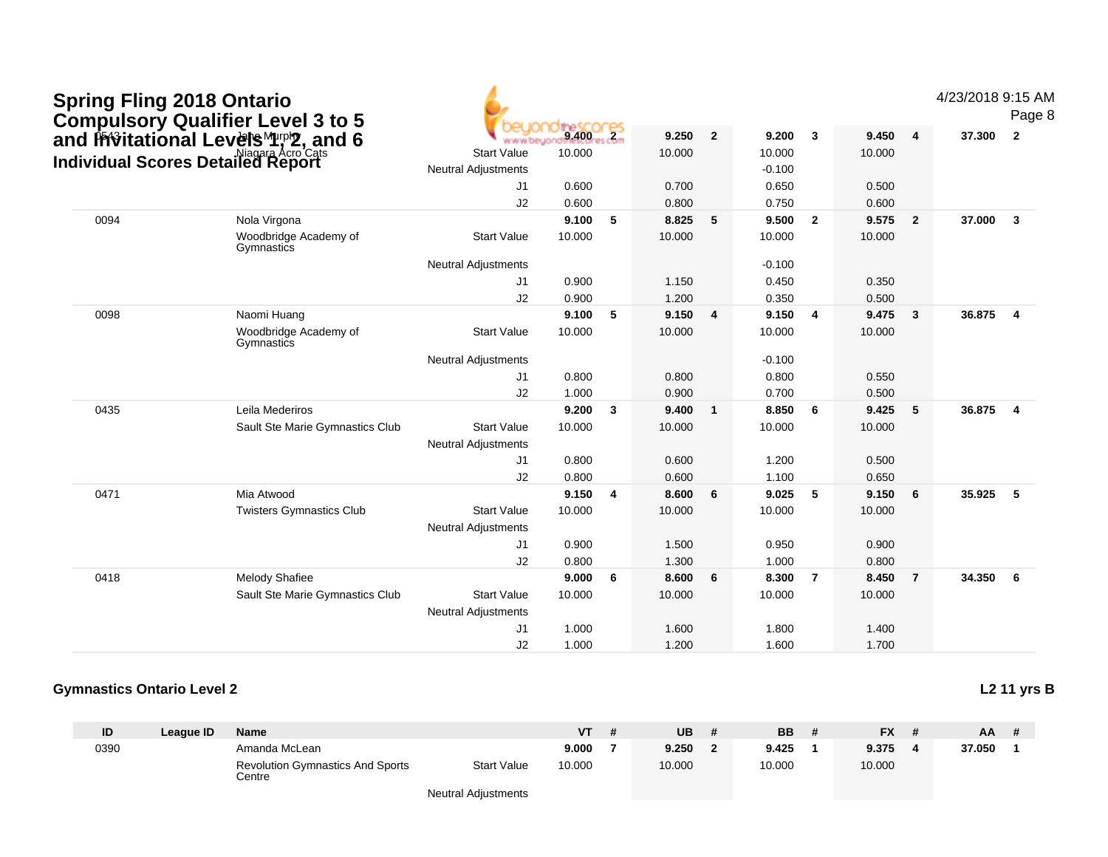| <b>Spring Fling 2018 Ontario</b> | <b>Compulsory Qualifier Level 3 to 5</b>                                |                                                               |                      |                         |                 |                |                             |                |                 |                | 4/23/2018 9:15 AM | Page 8                  |
|----------------------------------|-------------------------------------------------------------------------|---------------------------------------------------------------|----------------------|-------------------------|-----------------|----------------|-----------------------------|----------------|-----------------|----------------|-------------------|-------------------------|
|                                  | and Invitational LevelsMrp2, and 6<br>Individual Scores Detailed Report | www.beuor<br><b>Start Value</b><br><b>Neutral Adjustments</b> | the SCOPES<br>10.000 |                         | 9.250<br>10.000 | $\overline{2}$ | 9.200<br>10.000<br>$-0.100$ | $\mathbf{3}$   | 9.450<br>10.000 | $\overline{4}$ | 37.300            | $\overline{\mathbf{2}}$ |
|                                  |                                                                         | J1                                                            | 0.600                |                         | 0.700           |                | 0.650                       |                | 0.500           |                |                   |                         |
|                                  |                                                                         | J2                                                            | 0.600                |                         | 0.800           |                | 0.750                       |                | 0.600           |                |                   |                         |
| 0094                             | Nola Virgona                                                            |                                                               | 9.100                | 5                       | 8.825           | 5              | 9.500                       | $\overline{2}$ | 9.575           | $\overline{2}$ | 37,000            | $\mathbf{3}$            |
|                                  | Woodbridge Academy of<br>Gymnastics                                     | <b>Start Value</b>                                            | 10.000               |                         | 10.000          |                | 10.000                      |                | 10.000          |                |                   |                         |
|                                  |                                                                         | <b>Neutral Adjustments</b>                                    |                      |                         |                 |                | $-0.100$                    |                |                 |                |                   |                         |
|                                  |                                                                         | J1                                                            | 0.900                |                         | 1.150           |                | 0.450                       |                | 0.350           |                |                   |                         |
|                                  |                                                                         | J2                                                            | 0.900                |                         | 1.200           |                | 0.350                       |                | 0.500           |                |                   |                         |
| 0098                             | Naomi Huang                                                             |                                                               | 9.100                | 5                       | 9.150           | 4              | 9.150                       | $\overline{4}$ | 9.475           | $\mathbf{3}$   | 36.875            | $\overline{\mathbf{4}}$ |
|                                  | Woodbridge Academy of<br>Gymnastics                                     | <b>Start Value</b>                                            | 10.000               |                         | 10.000          |                | 10.000                      |                | 10.000          |                |                   |                         |
|                                  |                                                                         | <b>Neutral Adjustments</b>                                    |                      |                         |                 |                | $-0.100$                    |                |                 |                |                   |                         |
|                                  |                                                                         | J1                                                            | 0.800                |                         | 0.800           |                | 0.800                       |                | 0.550           |                |                   |                         |
|                                  |                                                                         | J2                                                            | 1.000                |                         | 0.900           |                | 0.700                       |                | 0.500           |                |                   |                         |
| 0435                             | Leila Mederiros                                                         |                                                               | 9.200                | $\overline{\mathbf{3}}$ | 9.400           | $\mathbf{1}$   | 8.850                       | - 6            | 9.425           | 5              | 36.875            | $\overline{4}$          |
|                                  | Sault Ste Marie Gymnastics Club                                         | <b>Start Value</b>                                            | 10.000               |                         | 10.000          |                | 10.000                      |                | 10.000          |                |                   |                         |
|                                  |                                                                         | <b>Neutral Adjustments</b>                                    |                      |                         |                 |                |                             |                |                 |                |                   |                         |
|                                  |                                                                         | J1                                                            | 0.800                |                         | 0.600           |                | 1.200                       |                | 0.500           |                |                   |                         |
|                                  |                                                                         | J2                                                            | 0.800                |                         | 0.600           |                | 1.100                       |                | 0.650           |                |                   |                         |
| 0471                             | Mia Atwood                                                              |                                                               | 9.150                | $\overline{4}$          | 8.600           | 6              | 9.025                       | 5              | 9.150           | 6              | 35.925            | -5                      |
|                                  | <b>Twisters Gymnastics Club</b>                                         | <b>Start Value</b>                                            | 10.000               |                         | 10.000          |                | 10.000                      |                | 10.000          |                |                   |                         |
|                                  |                                                                         | <b>Neutral Adjustments</b>                                    |                      |                         |                 |                |                             |                |                 |                |                   |                         |
|                                  |                                                                         | J1                                                            | 0.900                |                         | 1.500           |                | 0.950                       |                | 0.900           |                |                   |                         |
|                                  |                                                                         | J2                                                            | 0.800                |                         | 1.300           |                | 1.000                       |                | 0.800           |                |                   |                         |
| 0418                             | Melody Shafiee                                                          |                                                               | 9.000                | - 6                     | 8.600           | 6              | 8.300                       | $\overline{7}$ | 8.450           | $\overline{7}$ | 34.350            | - 6                     |
|                                  | Sault Ste Marie Gymnastics Club                                         | <b>Start Value</b><br><b>Neutral Adjustments</b>              | 10.000               |                         | 10.000          |                | 10.000                      |                | 10.000          |                |                   |                         |
|                                  |                                                                         | J1                                                            | 1.000                |                         | 1.600           |                | 1.800                       |                | 1.400           |                |                   |                         |
|                                  |                                                                         | J2                                                            | 1.000                |                         | 1.200           |                | 1.600                       |                | 1.700           |                |                   |                         |

| ID   | League ID | <b>Name</b>                                       |                     | <b>VT</b> | <b>UB</b> | <b>BB</b> | <b>FX</b> | $AA$ # |  |
|------|-----------|---------------------------------------------------|---------------------|-----------|-----------|-----------|-----------|--------|--|
| 0390 |           | Amanda McLean                                     |                     | 9.000     | 9.250     | 9.425     | 9.375     | 37.050 |  |
|      |           | <b>Revolution Gymnastics And Sports</b><br>Centre | <b>Start Value</b>  | 10.000    | 10.000    | 10.000    | 10.000    |        |  |
|      |           |                                                   | Neutral Adjustments |           |           |           |           |        |  |

**L2 11 yrs B**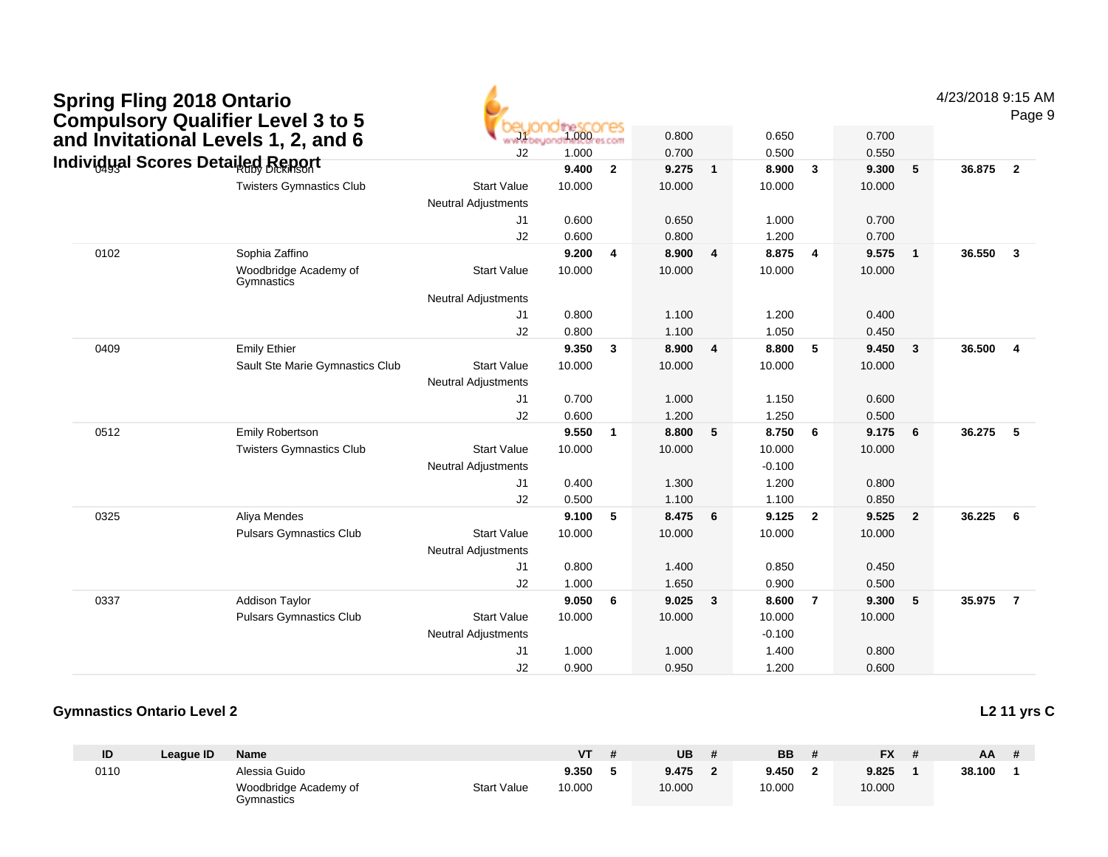| <b>Spring Fling 2018 Ontario</b>         | <b>Compulsory Qualifier Level 3 to 5</b><br>and Invitational Levels 1, 2, and 6 | J2                                               | 1,000<br>1.000 |                         | 0.800<br>0.700 |                         | 0.650<br>0.500 |                | 0.700<br>0.550 |                | 4/23/2018 9:15 AM | Page 9         |
|------------------------------------------|---------------------------------------------------------------------------------|--------------------------------------------------|----------------|-------------------------|----------------|-------------------------|----------------|----------------|----------------|----------------|-------------------|----------------|
| <b>Individual Scores Detailed Report</b> |                                                                                 |                                                  | 9.400          | $\overline{2}$          | 9.275          | $\mathbf{1}$            | 8.900          | $\mathbf{3}$   | 9.300          | 5              | 36,875            | $\overline{2}$ |
|                                          | <b>Twisters Gymnastics Club</b>                                                 | <b>Start Value</b><br><b>Neutral Adjustments</b> | 10.000         |                         | 10.000         |                         | 10.000         |                | 10.000         |                |                   |                |
|                                          |                                                                                 | J1                                               | 0.600          |                         | 0.650          |                         | 1.000          |                | 0.700          |                |                   |                |
|                                          |                                                                                 | J2                                               | 0.600          |                         | 0.800          |                         | 1.200          |                | 0.700          |                |                   |                |
| 0102                                     | Sophia Zaffino                                                                  |                                                  | 9.200          | $\overline{4}$          | 8.900          | $\overline{4}$          | 8.875          | $\overline{4}$ | 9.575          | $\mathbf{1}$   | 36.550            | $\mathbf{3}$   |
|                                          | Woodbridge Academy of<br>Gymnastics                                             | <b>Start Value</b>                               | 10.000         |                         | 10.000         |                         | 10.000         |                | 10.000         |                |                   |                |
|                                          |                                                                                 | <b>Neutral Adjustments</b>                       |                |                         |                |                         |                |                |                |                |                   |                |
|                                          |                                                                                 | J1                                               | 0.800          |                         | 1.100          |                         | 1.200          |                | 0.400          |                |                   |                |
|                                          |                                                                                 | J2                                               | 0.800          |                         | 1.100          |                         | 1.050          |                | 0.450          |                |                   |                |
| 0409                                     | <b>Emily Ethier</b>                                                             |                                                  | 9.350          | $\overline{3}$          | 8.900          | $\overline{\mathbf{4}}$ | 8.800          | 5              | 9.450          | 3              | 36.500            | $\overline{4}$ |
|                                          | Sault Ste Marie Gymnastics Club                                                 | <b>Start Value</b><br>Neutral Adjustments        | 10.000         |                         | 10.000         |                         | 10.000         |                | 10.000         |                |                   |                |
|                                          |                                                                                 | J1                                               | 0.700          |                         | 1.000          |                         | 1.150          |                | 0.600          |                |                   |                |
|                                          |                                                                                 | J2                                               | 0.600          |                         | 1.200          |                         | 1.250          |                | 0.500          |                |                   |                |
| 0512                                     | <b>Emily Robertson</b>                                                          |                                                  | 9.550          | $\overline{\mathbf{1}}$ | 8.800          | 5                       | 8.750          | 6              | 9.175          | 6              | 36.275            | 5              |
|                                          | <b>Twisters Gymnastics Club</b>                                                 | <b>Start Value</b>                               | 10.000         |                         | 10.000         |                         | 10.000         |                | 10.000         |                |                   |                |
|                                          |                                                                                 | <b>Neutral Adjustments</b>                       |                |                         |                |                         | $-0.100$       |                |                |                |                   |                |
|                                          |                                                                                 | J1                                               | 0.400          |                         | 1.300          |                         | 1.200          |                | 0.800          |                |                   |                |
|                                          |                                                                                 | J2                                               | 0.500          |                         | 1.100          |                         | 1.100          |                | 0.850          |                |                   |                |
| 0325                                     | Aliya Mendes                                                                    |                                                  | 9.100          | 5                       | 8.475          | 6                       | 9.125          | $\overline{2}$ | 9.525          | $\overline{2}$ | 36.225            | 6              |
|                                          | <b>Pulsars Gymnastics Club</b>                                                  | <b>Start Value</b><br><b>Neutral Adjustments</b> | 10.000         |                         | 10.000         |                         | 10.000         |                | 10.000         |                |                   |                |
|                                          |                                                                                 | J1                                               | 0.800          |                         | 1.400          |                         | 0.850          |                | 0.450          |                |                   |                |
|                                          |                                                                                 | J2                                               | 1.000          |                         | 1.650          |                         | 0.900          |                | 0.500          |                |                   |                |
| 0337                                     | <b>Addison Taylor</b>                                                           |                                                  | 9.050          | 6                       | 9.025          | $\mathbf{3}$            | 8.600          | $\overline{7}$ | 9.300          | 5              | 35.975            | $\overline{7}$ |
|                                          | <b>Pulsars Gymnastics Club</b>                                                  | <b>Start Value</b>                               | 10.000         |                         | 10.000         |                         | 10.000         |                | 10.000         |                |                   |                |
|                                          |                                                                                 | <b>Neutral Adjustments</b>                       |                |                         |                |                         | $-0.100$       |                |                |                |                   |                |
|                                          |                                                                                 | J1                                               | 1.000          |                         | 1.000          |                         | 1.400          |                | 0.800          |                |                   |                |
|                                          |                                                                                 | J2                                               | 0.900          |                         | 0.950          |                         | 1.200          |                | 0.600          |                |                   |                |

#### **Gymnastics Ontario Level 2L2 11 yrs C**

| ID   | League ID | Name                                |                    | VТ     | UB     | <b>BB</b> | <b>FX</b> | AA     |  |
|------|-----------|-------------------------------------|--------------------|--------|--------|-----------|-----------|--------|--|
| 0110 |           | Alessia Guido                       |                    | 9.350  | 9.475  | 9.450     | 9.825     | 38.100 |  |
|      |           | Woodbridge Academy of<br>Gymnastics | <b>Start Value</b> | 10.000 | 10.000 | 10.000    | 10.000    |        |  |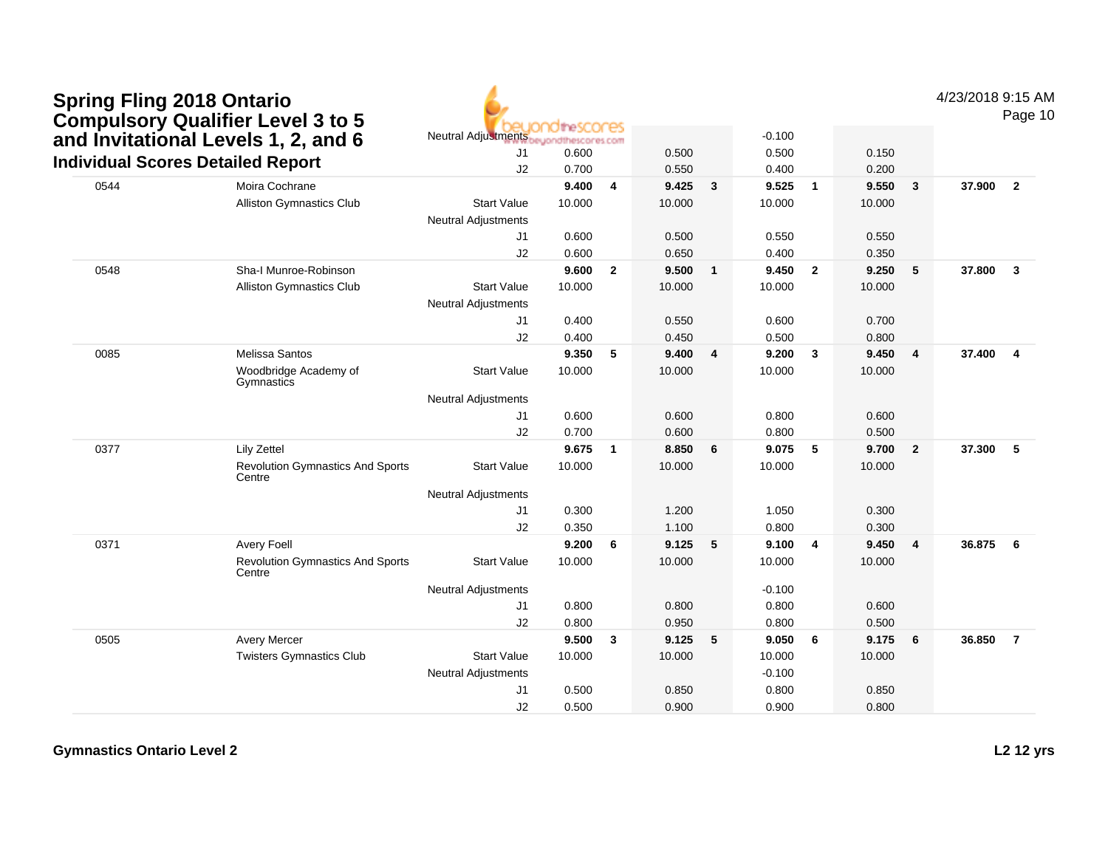| <b>Spring Fling 2018 Ontario</b> | <b>Compulsory Qualifier Level 3 to 5</b>          | <b>Neutral Adjustments</b> | dihescor                    |                         |        |                         | $-0.100$       |                |                |                         | 4/23/2018 9:15 AM | Page 10        |
|----------------------------------|---------------------------------------------------|----------------------------|-----------------------------|-------------------------|--------|-------------------------|----------------|----------------|----------------|-------------------------|-------------------|----------------|
|                                  | and Invitational Levels 1, 2, and 6               | J1                         | euondthescores.com<br>0.600 |                         | 0.500  |                         | 0.500          |                | 0.150          |                         |                   |                |
|                                  | <b>Individual Scores Detailed Report</b>          | J2                         | 0.700                       |                         | 0.550  |                         | 0.400          |                | 0.200          |                         |                   |                |
| 0544                             | Moira Cochrane                                    |                            | 9.400                       | $\overline{4}$          | 9.425  | $\overline{\mathbf{3}}$ | 9.525          | $\overline{1}$ | 9.550          | $\mathbf{3}$            | 37,900            | $\overline{2}$ |
|                                  | Alliston Gymnastics Club                          | <b>Start Value</b>         | 10.000                      |                         | 10.000 |                         | 10.000         |                | 10.000         |                         |                   |                |
|                                  |                                                   | <b>Neutral Adjustments</b> |                             |                         |        |                         |                |                |                |                         |                   |                |
|                                  |                                                   | J <sub>1</sub>             | 0.600                       |                         | 0.500  |                         | 0.550          |                | 0.550          |                         |                   |                |
|                                  |                                                   | J2                         | 0.600                       |                         | 0.650  |                         | 0.400          |                | 0.350          |                         |                   |                |
| 0548                             | Sha-I Munroe-Robinson                             |                            | 9.600                       | $\overline{2}$          | 9.500  | $\mathbf{1}$            | 9.450          | $\overline{2}$ | 9.250          | 5                       | 37,800            | $\mathbf{3}$   |
|                                  | <b>Alliston Gymnastics Club</b>                   | <b>Start Value</b>         | 10.000                      |                         | 10.000 |                         | 10.000         |                | 10.000         |                         |                   |                |
|                                  |                                                   | <b>Neutral Adjustments</b> |                             |                         |        |                         |                |                |                |                         |                   |                |
|                                  |                                                   | J1                         | 0.400                       |                         | 0.550  |                         | 0.600          |                | 0.700          |                         |                   |                |
|                                  |                                                   | J2                         | 0.400                       |                         | 0.450  |                         | 0.500          |                | 0.800          |                         |                   |                |
| 0085                             | <b>Melissa Santos</b>                             |                            | 9.350                       | 5                       | 9.400  | $\overline{\mathbf{4}}$ | 9.200          | $\mathbf{3}$   | 9.450          | $\overline{\mathbf{4}}$ | 37.400            | $\overline{4}$ |
|                                  | Woodbridge Academy of<br>Gymnastics               | <b>Start Value</b>         | 10.000                      |                         | 10.000 |                         | 10.000         |                | 10.000         |                         |                   |                |
|                                  |                                                   | Neutral Adjustments        |                             |                         |        |                         |                |                |                |                         |                   |                |
|                                  |                                                   | J1                         | 0.600                       |                         | 0.600  |                         | 0.800          |                | 0.600          |                         |                   |                |
| 0377                             |                                                   | J2                         | 0.700<br>9.675              |                         | 0.600  |                         | 0.800<br>9.075 | 5              | 0.500<br>9.700 |                         | 37,300            | - 5            |
|                                  | <b>Lily Zettel</b>                                |                            | 10.000                      | $\overline{\mathbf{1}}$ | 8.850  | 6                       |                |                | 10.000         | $\overline{2}$          |                   |                |
|                                  | <b>Revolution Gymnastics And Sports</b><br>Centre | <b>Start Value</b>         |                             |                         | 10.000 |                         | 10.000         |                |                |                         |                   |                |
|                                  |                                                   | <b>Neutral Adjustments</b> |                             |                         |        |                         |                |                |                |                         |                   |                |
|                                  |                                                   | J1                         | 0.300                       |                         | 1.200  |                         | 1.050          |                | 0.300          |                         |                   |                |
|                                  |                                                   | J2                         | 0.350                       |                         | 1.100  |                         | 0.800          |                | 0.300          |                         |                   |                |
| 0371                             | <b>Avery Foell</b>                                |                            | 9.200                       | 6                       | 9.125  | 5                       | 9.100          | $\overline{4}$ | 9.450          | 4                       | 36.875            | 6              |
|                                  | <b>Revolution Gymnastics And Sports</b><br>Centre | <b>Start Value</b>         | 10.000                      |                         | 10.000 |                         | 10.000         |                | 10.000         |                         |                   |                |
|                                  |                                                   | <b>Neutral Adjustments</b> |                             |                         |        |                         | $-0.100$       |                |                |                         |                   |                |
|                                  |                                                   | J1                         | 0.800                       |                         | 0.800  |                         | 0.800          |                | 0.600          |                         |                   |                |
|                                  |                                                   | J2                         | 0.800                       |                         | 0.950  |                         | 0.800          |                | 0.500          |                         |                   |                |
| 0505                             | Avery Mercer                                      |                            | 9.500                       | $\mathbf{3}$            | 9.125  | 5                       | 9.050          | 6              | 9.175          | 6                       | 36.850            | $\overline{7}$ |
|                                  | <b>Twisters Gymnastics Club</b>                   | <b>Start Value</b>         | 10.000                      |                         | 10.000 |                         | 10.000         |                | 10.000         |                         |                   |                |
|                                  |                                                   | <b>Neutral Adjustments</b> |                             |                         |        |                         | $-0.100$       |                |                |                         |                   |                |
|                                  |                                                   | J1                         | 0.500                       |                         | 0.850  |                         | 0.800          |                | 0.850          |                         |                   |                |
|                                  |                                                   | J2                         | 0.500                       |                         | 0.900  |                         | 0.900          |                | 0.800          |                         |                   |                |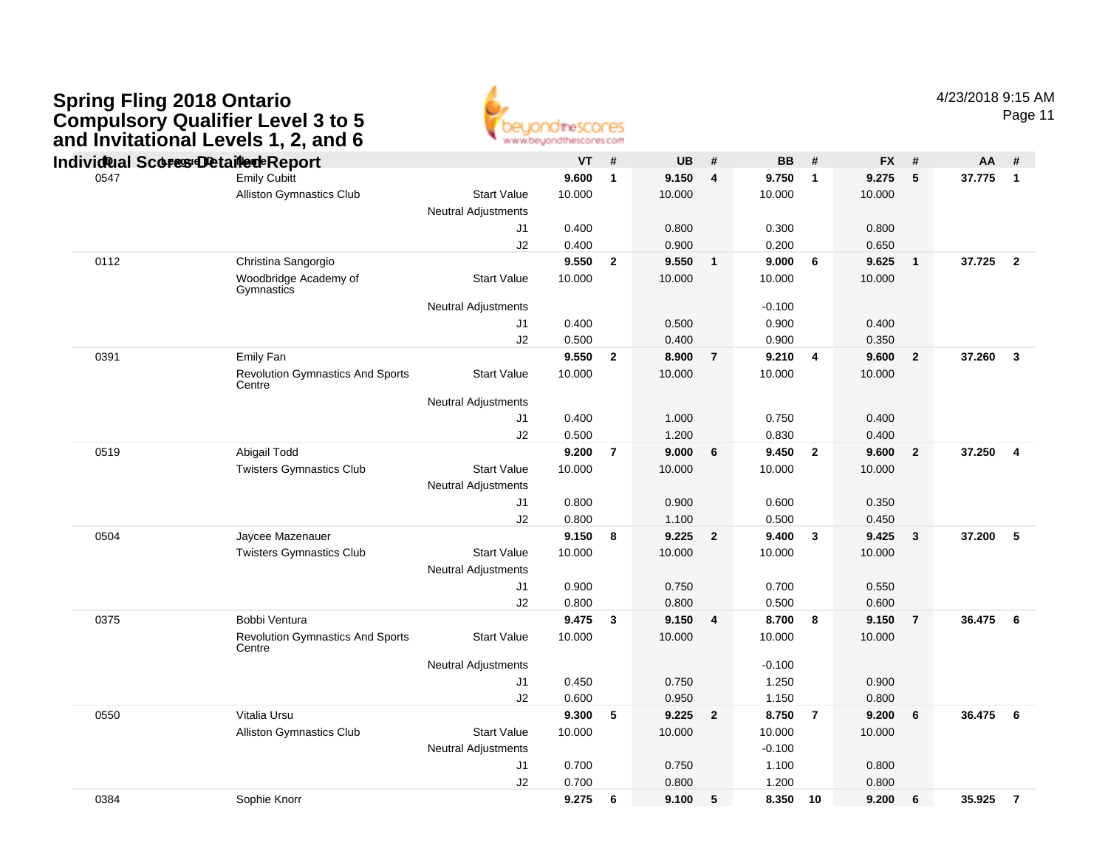# **Spring Fling 2018 Ontario Compulsory Qualifier Level 3 to 5 and Invitational Levels 1, 2, and 6**



Page 11

|      | Individual Scores Detailed Report                 |                                                  | <b>VT</b> | #              | <b>UB</b> | #              | <b>BB</b> | #              | <b>FX</b> | #                       | AA     | #              |
|------|---------------------------------------------------|--------------------------------------------------|-----------|----------------|-----------|----------------|-----------|----------------|-----------|-------------------------|--------|----------------|
| 0547 | <b>Emily Cubitt</b>                               |                                                  | 9.600     | $\overline{1}$ | 9.150     | 4              | 9.750     | $\mathbf{1}$   | 9.275     | 5                       | 37.775 | $\overline{1}$ |
|      | <b>Alliston Gymnastics Club</b>                   | <b>Start Value</b>                               | 10.000    |                | 10.000    |                | 10.000    |                | 10.000    |                         |        |                |
|      |                                                   | <b>Neutral Adjustments</b>                       | 0.400     |                | 0.800     |                | 0.300     |                | 0.800     |                         |        |                |
|      |                                                   | J1<br>J2                                         | 0.400     |                | 0.900     |                | 0.200     |                | 0.650     |                         |        |                |
| 0112 | Christina Sangorgio                               |                                                  | 9.550     | $\overline{2}$ | 9.550     | $\mathbf{1}$   | 9.000     | 6              | 9.625     | $\overline{\mathbf{1}}$ | 37.725 | $\overline{2}$ |
|      | Woodbridge Academy of<br>Gymnastics               | <b>Start Value</b>                               | 10.000    |                | 10.000    |                | 10.000    |                | 10.000    |                         |        |                |
|      |                                                   | <b>Neutral Adjustments</b>                       |           |                |           |                | $-0.100$  |                |           |                         |        |                |
|      |                                                   | J1                                               | 0.400     |                | 0.500     |                | 0.900     |                | 0.400     |                         |        |                |
|      |                                                   | J2                                               | 0.500     |                | 0.400     |                | 0.900     |                | 0.350     |                         |        |                |
| 0391 | Emily Fan                                         |                                                  | 9.550     | $\overline{2}$ | 8.900     | $\overline{7}$ | 9.210     | 4              | 9.600     | $\mathbf{2}$            | 37.260 | $\mathbf{3}$   |
|      | <b>Revolution Gymnastics And Sports</b><br>Centre | <b>Start Value</b>                               | 10.000    |                | 10.000    |                | 10.000    |                | 10.000    |                         |        |                |
|      |                                                   | <b>Neutral Adjustments</b>                       |           |                |           |                |           |                |           |                         |        |                |
|      |                                                   | J <sub>1</sub>                                   | 0.400     |                | 1.000     |                | 0.750     |                | 0.400     |                         |        |                |
|      |                                                   | J2                                               | 0.500     |                | 1.200     |                | 0.830     |                | 0.400     |                         |        |                |
| 0519 | Abigail Todd                                      |                                                  | 9.200     | $\overline{7}$ | 9.000     | 6              | 9.450     | $\mathbf{2}$   | 9.600     | $\overline{2}$          | 37.250 | $\overline{4}$ |
|      | <b>Twisters Gymnastics Club</b>                   | <b>Start Value</b><br><b>Neutral Adjustments</b> | 10.000    |                | 10.000    |                | 10.000    |                | 10.000    |                         |        |                |
|      |                                                   | J1                                               | 0.800     |                | 0.900     |                | 0.600     |                | 0.350     |                         |        |                |
|      |                                                   | J2                                               | 0.800     |                | 1.100     |                | 0.500     |                | 0.450     |                         |        |                |
| 0504 | Jaycee Mazenauer                                  |                                                  | 9.150     | 8              | 9.225     | $\mathbf{2}$   | 9.400     | 3              | 9.425     | $\mathbf{3}$            | 37.200 | - 5            |
|      | <b>Twisters Gymnastics Club</b>                   | <b>Start Value</b>                               | 10.000    |                | 10.000    |                | 10.000    |                | 10.000    |                         |        |                |
|      |                                                   | <b>Neutral Adjustments</b>                       |           |                |           |                |           |                |           |                         |        |                |
|      |                                                   | J1                                               | 0.900     |                | 0.750     |                | 0.700     |                | 0.550     |                         |        |                |
|      |                                                   | J2                                               | 0.800     |                | 0.800     |                | 0.500     |                | 0.600     |                         |        |                |
| 0375 | Bobbi Ventura                                     |                                                  | 9.475     | $\mathbf{3}$   | 9.150     | 4              | 8.700     | 8              | 9.150     | $\overline{7}$          | 36.475 | 6              |
|      | <b>Revolution Gymnastics And Sports</b><br>Centre | <b>Start Value</b>                               | 10.000    |                | 10.000    |                | 10.000    |                | 10.000    |                         |        |                |
|      |                                                   | <b>Neutral Adjustments</b>                       |           |                |           |                | $-0.100$  |                |           |                         |        |                |
|      |                                                   | J1                                               | 0.450     |                | 0.750     |                | 1.250     |                | 0.900     |                         |        |                |
|      |                                                   | J2                                               | 0.600     |                | 0.950     |                | 1.150     |                | 0.800     |                         |        |                |
| 0550 | Vitalia Ursu                                      |                                                  | 9.300     | 5              | 9.225     | $\overline{2}$ | 8.750     | $\overline{7}$ | 9.200     | 6                       | 36.475 | - 6            |
|      | <b>Alliston Gymnastics Club</b>                   | <b>Start Value</b>                               | 10.000    |                | 10.000    |                | 10.000    |                | 10.000    |                         |        |                |
|      |                                                   | <b>Neutral Adjustments</b>                       |           |                |           |                | $-0.100$  |                |           |                         |        |                |
|      |                                                   | J1                                               | 0.700     |                | 0.750     |                | 1.100     |                | 0.800     |                         |        |                |
|      |                                                   | J2                                               | 0.700     |                | 0.800     |                | 1.200     |                | 0.800     |                         |        |                |
| 0384 | Sophie Knorr                                      |                                                  | 9.275     | 6              | 9.100     | 5              | 8.350     | 10             | 9.200     | 6                       | 35.925 | $\overline{7}$ |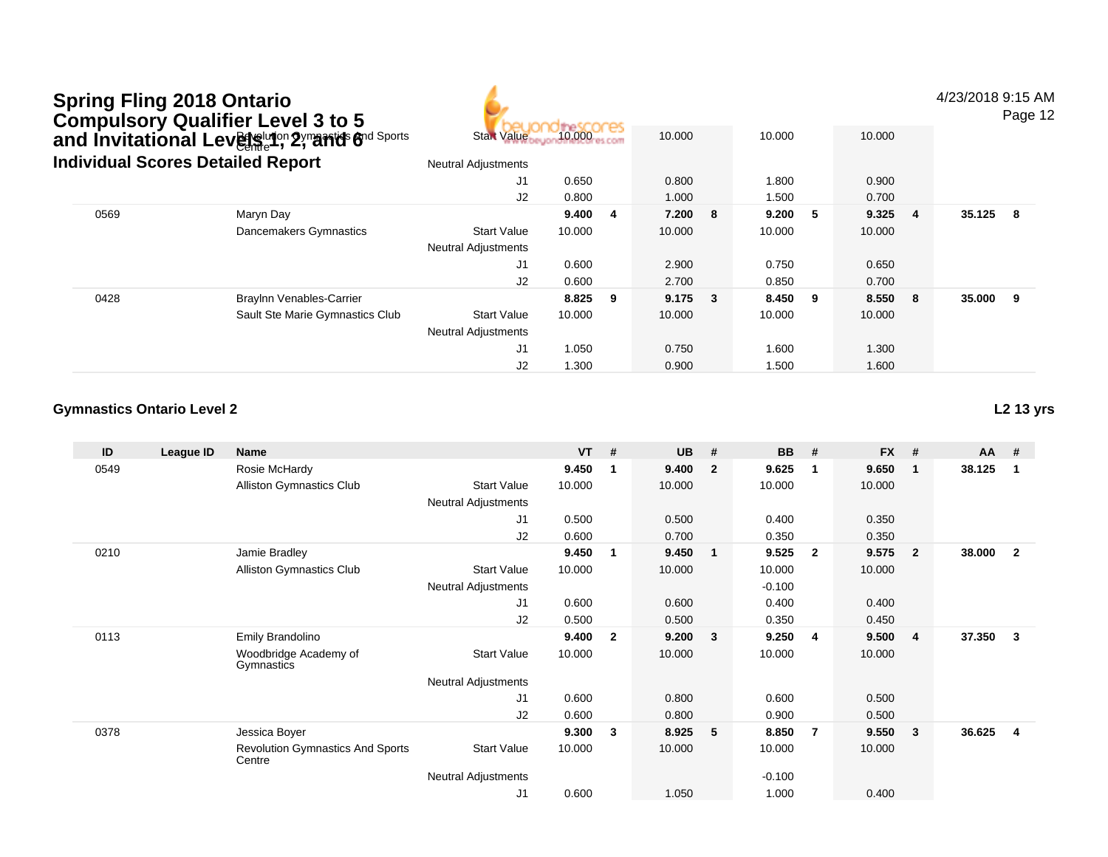# Bayelution 2 ymarrids find Sports Spring Fling 2018 Ontario<br>Compulsory Qualifier Level 3 to 5<br>and Invitational Lev創ৣখ<sup>ন</sup>় 2,ొanত 6



4/23/2018 9:15 AM

Page 12

|      | <b>Individual Scores Detailed Report</b> | <b>Neutral Adjustments</b> |        |   |           |         |        |                |          |   |
|------|------------------------------------------|----------------------------|--------|---|-----------|---------|--------|----------------|----------|---|
|      |                                          | J1                         | 0.650  |   | 0.800     | 1.800   | 0.900  |                |          |   |
|      |                                          | J2                         | 0.800  |   | 1.000     | 1.500   | 0.700  |                |          |   |
| 0569 | Maryn Day                                |                            | 9.400  | 4 | 7.200 8   | 9.200 5 | 9.325  | $\overline{4}$ | 35.125 8 |   |
|      | Dancemakers Gymnastics                   | <b>Start Value</b>         | 10.000 |   | 10.000    | 10.000  | 10.000 |                |          |   |
|      |                                          | <b>Neutral Adjustments</b> |        |   |           |         |        |                |          |   |
|      |                                          | J1                         | 0.600  |   | 2.900     | 0.750   | 0.650  |                |          |   |
|      |                                          | J2                         | 0.600  |   | 2.700     | 0.850   | 0.700  |                |          |   |
| 0428 | Braylnn Venables-Carrier                 |                            | 8.825  | 9 | $9.175$ 3 | 8.450 9 | 8.550  | -8             | 35.000   | 9 |
|      | Sault Ste Marie Gymnastics Club          | <b>Start Value</b>         | 10.000 |   | 10.000    | 10.000  | 10.000 |                |          |   |
|      |                                          | <b>Neutral Adjustments</b> |        |   |           |         |        |                |          |   |
|      |                                          | J1                         | 1.050  |   | 0.750     | 1.600   | 1.300  |                |          |   |
|      |                                          | J2                         | 1.300  |   | 0.900     | 1.500   | 1.600  |                |          |   |

# **Gymnastics Ontario Level 2**

| ID   | League ID | <b>Name</b>                                       |                            | $VT$ # |                | <b>UB</b> | #              | <b>BB</b> | #                       | <b>FX</b> | #              | AA     | #                       |
|------|-----------|---------------------------------------------------|----------------------------|--------|----------------|-----------|----------------|-----------|-------------------------|-----------|----------------|--------|-------------------------|
| 0549 |           | Rosie McHardy                                     |                            | 9.450  | 1              | 9.400     | $\overline{2}$ | 9.625     | -1                      | 9.650     | -1             | 38.125 | -1                      |
|      |           | Alliston Gymnastics Club                          | Start Value                | 10.000 |                | 10.000    |                | 10.000    |                         | 10.000    |                |        |                         |
|      |           |                                                   | Neutral Adjustments        |        |                |           |                |           |                         |           |                |        |                         |
|      |           |                                                   | J <sub>1</sub>             | 0.500  |                | 0.500     |                | 0.400     |                         | 0.350     |                |        |                         |
|      |           |                                                   | J2                         | 0.600  |                | 0.700     |                | 0.350     |                         | 0.350     |                |        |                         |
| 0210 |           | Jamie Bradley                                     |                            | 9.450  | 1              | 9.450     | 1              | 9.525     | $\overline{\mathbf{2}}$ | 9.575     | $\overline{2}$ | 38.000 | $\overline{2}$          |
|      |           | <b>Alliston Gymnastics Club</b>                   | <b>Start Value</b>         | 10.000 |                | 10.000    |                | 10.000    |                         | 10.000    |                |        |                         |
|      |           |                                                   | <b>Neutral Adjustments</b> |        |                |           |                | $-0.100$  |                         |           |                |        |                         |
|      |           |                                                   | J1                         | 0.600  |                | 0.600     |                | 0.400     |                         | 0.400     |                |        |                         |
|      |           |                                                   | J2                         | 0.500  |                | 0.500     |                | 0.350     |                         | 0.450     |                |        |                         |
| 0113 |           | Emily Brandolino                                  |                            | 9.400  | $\overline{2}$ | 9.200     | $\mathbf{3}$   | 9.250     | -4                      | 9.500     | -4             | 37.350 | 3                       |
|      |           | Woodbridge Academy of<br>Gymnastics               | <b>Start Value</b>         | 10.000 |                | 10.000    |                | 10.000    |                         | 10.000    |                |        |                         |
|      |           |                                                   | Neutral Adjustments        |        |                |           |                |           |                         |           |                |        |                         |
|      |           |                                                   | J1                         | 0.600  |                | 0.800     |                | 0.600     |                         | 0.500     |                |        |                         |
|      |           |                                                   | J2                         | 0.600  |                | 0.800     |                | 0.900     |                         | 0.500     |                |        |                         |
| 0378 |           | Jessica Boyer                                     |                            | 9.300  | 3              | 8.925     | 5              | 8.850     | $\overline{7}$          | 9.550     | -3             | 36.625 | $\overline{\mathbf{4}}$ |
|      |           | <b>Revolution Gymnastics And Sports</b><br>Centre | <b>Start Value</b>         | 10.000 |                | 10.000    |                | 10.000    |                         | 10.000    |                |        |                         |
|      |           |                                                   | <b>Neutral Adjustments</b> |        |                |           |                | $-0.100$  |                         |           |                |        |                         |
|      |           |                                                   | J <sub>1</sub>             | 0.600  |                | 1.050     |                | 1.000     |                         | 0.400     |                |        |                         |

**L2 13 yrs**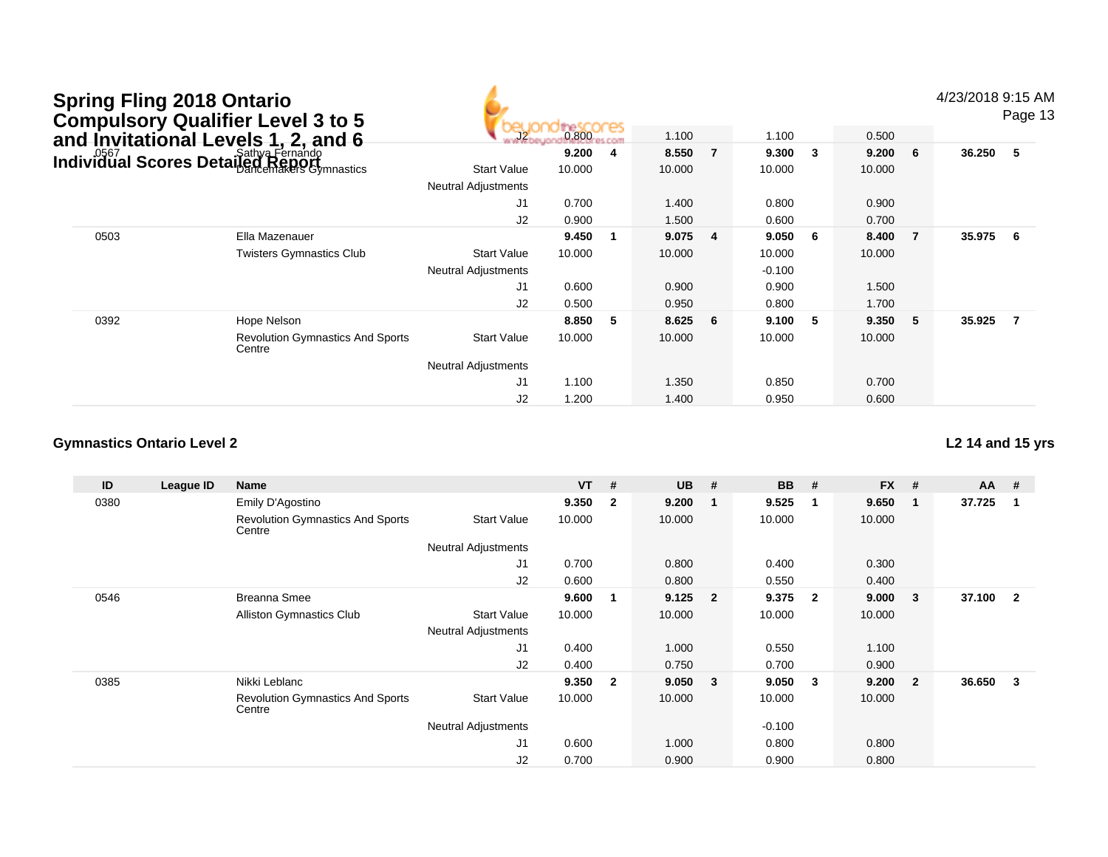|      | <b>Spring Fling 2018 Ontario</b><br><b>Compulsory Qualifier Level 3 to 5</b><br>and Invitational Levels 1, 2, and 6 |                            | 0.800  |     | 1.100  |                | 1.100    |                         | 0.500  |                | 4/23/2018 9:15 AM | Page 13 |
|------|---------------------------------------------------------------------------------------------------------------------|----------------------------|--------|-----|--------|----------------|----------|-------------------------|--------|----------------|-------------------|---------|
|      | and <i>Hist</i><br>Individual Scores Detailed Report<br>Individual Scores Detailed Report                           |                            | 9.200  | -4  | 8.550  | $\overline{7}$ | 9.300    | $\overline{\mathbf{3}}$ | 9.200  | 6              | 36.250            | 5       |
|      |                                                                                                                     | <b>Start Value</b>         | 10.000 |     | 10.000 |                | 10.000   |                         | 10.000 |                |                   |         |
|      |                                                                                                                     | <b>Neutral Adjustments</b> |        |     |        |                |          |                         |        |                |                   |         |
|      |                                                                                                                     | J1                         | 0.700  |     | 1.400  |                | 0.800    |                         | 0.900  |                |                   |         |
|      |                                                                                                                     | J <sub>2</sub>             | 0.900  |     | 1.500  |                | 0.600    |                         | 0.700  |                |                   |         |
| 0503 | Ella Mazenauer                                                                                                      |                            | 9.450  | - 1 | 9.075  | 4              | 9.050    | - 6                     | 8.400  | $\overline{7}$ | 35.975            | - 6     |
|      | <b>Twisters Gymnastics Club</b>                                                                                     | <b>Start Value</b>         | 10.000 |     | 10.000 |                | 10.000   |                         | 10.000 |                |                   |         |
|      |                                                                                                                     | <b>Neutral Adjustments</b> |        |     |        |                | $-0.100$ |                         |        |                |                   |         |
|      |                                                                                                                     | J <sub>1</sub>             | 0.600  |     | 0.900  |                | 0.900    |                         | 1.500  |                |                   |         |
|      |                                                                                                                     | J2                         | 0.500  |     | 0.950  |                | 0.800    |                         | 1.700  |                |                   |         |
| 0392 | Hope Nelson                                                                                                         |                            | 8.850  | - 5 | 8.625  | 6              | 9.100    | -5                      | 9.350  | -5             | 35.925            | - 7     |
|      | <b>Revolution Gymnastics And Sports</b><br>Centre                                                                   | <b>Start Value</b>         | 10.000 |     | 10.000 |                | 10.000   |                         | 10.000 |                |                   |         |
|      |                                                                                                                     | <b>Neutral Adjustments</b> |        |     |        |                |          |                         |        |                |                   |         |
|      |                                                                                                                     | J1                         | 1.100  |     | 1.350  |                | 0.850    |                         | 0.700  |                |                   |         |
|      |                                                                                                                     | J <sub>2</sub>             | 1.200  |     | 1.400  |                | 0.950    |                         | 0.600  |                |                   |         |

#### **Gymnastics Ontario Level 2L2 14 and 15 yrs**

**ID League ID Name VT # UB # BB # FX # AA #** 0380 Emily D'Agostino **9.350 <sup>2</sup> 9.200 <sup>1</sup> 9.525 <sup>1</sup> 9.650 <sup>1</sup> 37.725 <sup>1</sup>** Revolution Gymnastics And Sports CentreStart Valuee 10.000 10.000 10.000 10.000 Neutral Adjustments J1 0.700 0.800 0.400 0.300 J2 0.600 0.800 0.550 0.400 0546 Breanna Smee **9.600 <sup>1</sup> 9.125 <sup>2</sup> 9.375 <sup>2</sup> 9.000 <sup>3</sup> 37.100 <sup>2</sup>** Alliston Gymnastics Club Start Value 10.000 10.000 10.000 10.000 Neutral Adjustments J1 0.400 1.000 0.550 1.100 J2 0.400 0.750 0.700 0.900 0385 Nikki Leblanc **9.350 <sup>2</sup> 9.050 <sup>3</sup> 9.050 <sup>3</sup> 9.200 <sup>2</sup> 36.650 <sup>3</sup>** Revolution Gymnastics And Sports**Centre** Start Valuee 10.000 10.000 10.000 10.000 Neutral Adjustments $-0.100$ 0.800 J1 0.600 1.000 0.800 0.800 J20.700 0.900 0.900 0.800